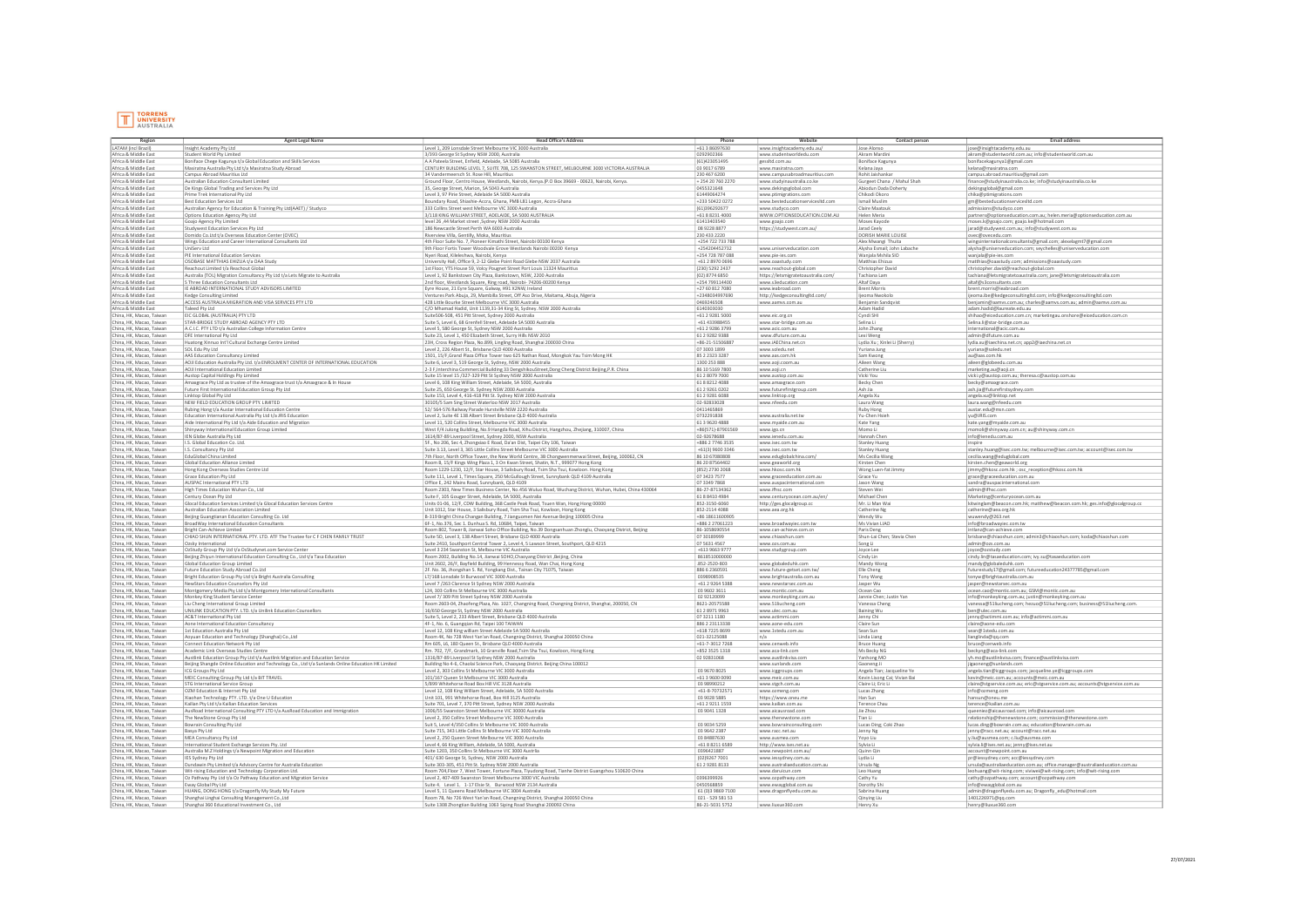

| Region                   | Agent Legal Name                                                                                  | <b>Head Office's Address</b>                                                                                                 | Phone                 | Website                             | Contact person                | <b>Email address</b>                                                         |
|--------------------------|---------------------------------------------------------------------------------------------------|------------------------------------------------------------------------------------------------------------------------------|-----------------------|-------------------------------------|-------------------------------|------------------------------------------------------------------------------|
| LATAM (incl Brazil)      | Insight Academy Pty Ltd                                                                           | Level 1, 209 Lonsdale Street Melbourne VIC 3000 Australia                                                                    | $+61386097630$        | www.insightacademy.edu.au/          | Jose Alonso                   | jose@insightacademy.edu.au                                                   |
| Africa & Middle East     | Student World Pty Limiter                                                                         | 3/393 George St Sydney NSW 2000, Australia                                                                                   | 0292902366            | www.studentworldedu.com             | Akram Mardin                  | akram@studentworld.com.au; info@studentworld.com.au                          |
| Africa & Middle East     | Boniface Chege Kagunya t/a Global Education and Skills Services                                   | A A Pateela Street, Enfield, Adelaide, SA 5085 Australia                                                                     | (61)423051495         | gessitd.com.au                      | Boniface Kagunya              | bonifacekagunya1@gmail.com                                                   |
| Africa & Middle Eas      | Masiratna Australia Pty Ltd t/a Masiratna Study Abroad                                            | CENTURY BUILDING LEVEL 7, SUITE 708, 125 SWANSTON STREET, MELBOURNE 3000 VICTORIA AUSTRALIA                                  | 03 9017 6789          | www.masiratna.com                   | Kelana Jaya                   | kelana@masiratna.com                                                         |
| Africa & Middle East     |                                                                                                   |                                                                                                                              | 230 467 6200          |                                     | Rohit Jaishanka               |                                                                              |
|                          | Campus Abroad Mauritius Ltd                                                                       | 34 Vandermeersch St. Rose Hill, Mauritius                                                                                    |                       | www.campusabroadmauritius.com       |                               | campus.abroad.mauritius@gmail.com                                            |
| Africa & Middle East     | Australian Education Consultant Limited                                                           | Ground Floor, Centro House, Westlands, Nairobi, Kenya.(P.O Box 39669 - 00623, Nairobi, Kenya                                 | +254 20 760 227       | www.studyinaustralia.co.ke          | Gurgeet Chana / Mahul Shah    | finance@studyinaustralia.co.ke; info@studyinaustralia.co.ke                  |
| Africa & Middle Eas      | De Kings Global Trading and Services Pty Ltd                                                      | 35, George Street, Marion, SA 5043 Australia                                                                                 | 0455321648            | www.dekingsglobal.com               | Abiodun Dada Doherty          | dekingsglobal@gmail.com                                                      |
| Africa & Middle Eas      | Prime Trek International Pty Ltd                                                                  | Level 3, 97 Pirie Street, Adelaide SA 5000 Australia                                                                         | 61449064274           | www.ptimigrations.com               | Chikodi Okoro                 | chika@ptimigrations.com                                                      |
| Africa & Middle Eas      | <b>Best Education Services Ltd</b>                                                                | Boundary Road, Shiashie-Accra, Ghana, PMB L81 Legon, Accra-Ghana                                                             | +233 50422 0272       | www.besteducationservicesltd.com    | Ismail Muslin                 | gm@besteducationservicesltd.com                                              |
| Africa & Middle Eas      | Australian Agency for Education & Training Pty Ltd(AAET) / Studyco                                | 333 Collins Street west Melbourne VIC 3000 Australia                                                                         | (61)396292677         | www.studyco.com                     | Claire Maatoul                | admissions@studyco.com                                                       |
| Africa & Middle Eas      | Options Education Agency Pty Ltd                                                                  | 3/118 KING WILLIAM STREET, ADELAIDE, SA 5000 AUSTRALIA                                                                       | +61 8 8231 4000       | WWW.OPTIONSEDUCATION.COM.AU         | Helen Meria                   | partners@optionseducation.com.au; helen.meria@optionseducation.com.au        |
|                          |                                                                                                   |                                                                                                                              |                       |                                     |                               |                                                                              |
| Africa & Middle Eas      | Goajo Agency Pty Limited                                                                          | level 26 ,44 Market street ,Sydney NSW 2000 Australis                                                                        | 61413403540           | www.goajo.com                       | Moses Kayode                  | moses.k@goajo.com; goajo.ke@hotmail.com                                      |
| Africa & Middle East     | Studywest Education Services Pty Ltd                                                              | 186 Newcastle Street Perth WA 6003 Australia                                                                                 | 08 9228 8877          | https://studywest.com.au/           | Jarad Ceely                   | jarad@studywest.com.au; info@studywest.com.au                                |
| Africa & Middle East     | Domido Co.Ltd t/a Overseas Education Center (OVEC)                                                | Riverview Villa, Gentilly, Moka, Mauritius                                                                                   | 230 433 2220          |                                     | DORISH MARIE LOUISE           | ovec@ovecedu.com                                                             |
| Africa & Middle Eas      | Wings Education and Career International Consultants Ltd                                          | 4th Floor Suite No. 7, Pioneer Kimathi Street, Nairobi 00100 Kenya                                                           | +254 722 733 788      |                                     | Alex Mwangi Thuita            | wingsinternationalconsultants@gmail.com; alexelagmt7@gmail.com               |
| Africa & Middle East     | UniServ Ltd                                                                                       | 9th Floor Fortis Tower Woodvale Grove Westlands Nairobi 00200 Kenya                                                          | +254204452732         | www.uniserveducation.com            | Alysha Esmail; John Labache   | alysha@uniserveducation.com; seychelles@uniserveducation.com                 |
| Africa & Middle Eas      | PIE International Education Services                                                              | Nyeri Road, Kileleshwa, Nairobi, Kenya                                                                                       | +254 728 787 088      | www.pie-ies.com                     | Wanjala Mshila SIO            | wanjala@pie-ies.com                                                          |
| Africa & Middle East     | OSOBASE MATTHIAS EHIZUA t/a OAA Study                                                             | University Hall, Office 9, 2-12 Glebe Point Road Glebe NSW 2037 Australia                                                    | +61 2 8970 0696       | www.oaastudy.com                    | Matthias Ehizua               | $\boxed{\text{mathbias@oasstudy.com; admissions@oasstudy.com}}$              |
| Africa & Middle Eas      | Reachout Limited t/a Reachout Global                                                              | 1st Floor, YTS House 59, Volcy Pougnet Street Port Louis 11324 Mauritius                                                     | (230) 5292 2437       | www.reachout-global.com             | Christopher David             | christopher.david@reachout-global.com                                        |
|                          |                                                                                                   |                                                                                                                              |                       |                                     |                               |                                                                              |
| Africa & Middle East     | Australia (TOL) Migration Consultancy Pty Ltd t/a Lets Migrate to Australia                       | Level 1, 92 Bankstown City Plaza, Bankstown, NSW, 2200 Australia                                                             | (02) 8774 6850        | https://letsmigratetoaustralia.com/ | Tachiana Lam                  | tachiana@letsmigratetoaustralia.com; jane@letsmigratetoaustralia.com         |
| Africa & Middle Eas      | S Three Education Consultants Ltd                                                                 | Ind floor, Westlands Square, Ring road, Nairobi- 74206-00200 Kenya                                                           | +254 799114400        | www.s3education.com                 | Altaf Daya                    | altaf@s3consultants.com                                                      |
| Africa & Middle East     | IE ABROAD INTERNATIONAL STUDY ADVISORS LIMITED                                                    | Eyre House, 21 Eyre Square, Galway, H91 X2NW, Ireland                                                                        | +27 60 812 7080       | www.ieabroad.com                    | <b>Brent Morris</b>           | brent.morris@ieabroad.com                                                    |
| Africa & Middle Eas      | Kedge Consulting Limited                                                                          | Ventures Park Abuja, 29, Mambilla Street, Off Aso Drive, Maitama, Abuja, Nigeria                                             | +2348034997690        | http://kedgeconsultingltd.com/      | ljeoma Nwokolo                | ijeoma.ibe@kedgeconsultingltd.com; info@kedgeconsultingltd.com               |
| Africa & Middle East     | ACCESS AUSTRALIA MIGRATION AND VISA SERVICES PTY LTD                                              | 428 Little Bourke Street Melbourne VIC 3000 Australia                                                                        | 0469246508            | www.aamvs.com.au                    | Benjamin Sandqvist            | benjamin@aamvs.com.au; charles@aamvs.com.au; admin@aamvs.com.au              |
| Africa & Middle Eas      | Taleed Pty Ltd                                                                                    | C/O Mhamad Hadid, Unit 1139,31-34 King St, Sydney. NSW 2000 Australia                                                        | 6140303030            |                                     |                               | adam.hadid@laureate.edu.au                                                   |
| China, HK, Macao, Taiwan | EIC GLOBAL (AUSTRALIA) PTY LTD                                                                    | Suite506-508, 451 Pitt Street, Sydney 2000 Australia                                                                         | +61 2 9281 5000       | www.eic.org.cn                      | Cyndi SHI                     | shihao@eiceducation.com.cn; marketingau.onshore@eiceducation.com.cn          |
| China, HK, Macao, Taiwan | STAR-BRIDGE STUDY ABROAD AGENCY PTY LTD                                                           | Suite 5, Level 6, 68 Grenfell Street, Adelaide SA 5000 Australia                                                             | +61 433988455         | www.star-bridge.com.au              | Selina Li                     | Selina.li@star-bridge.com.au                                                 |
| China, HK, Macao, Taiwan |                                                                                                   |                                                                                                                              | +61 2 9286 3799       |                                     |                               |                                                                              |
|                          | A.C.I.C. PTY LTD t/a Australian College Information Centre                                        | Level 5, 580 George St, Sydney NSW 2000 Australia                                                                            |                       | www.acic.com.au                     | John Zhang                    | international@acic.com.au                                                    |
| China, HK, Macao, Taiwan | DFE International Pty Ltd                                                                         | Suite 23, Level 1, 450 Elizabeth Street, Surry Hills NSW 2010                                                                | 61 2 9 28 2 9 3 8 8   | www.dfuture.com.au                  | Lexi Weng                     | admin@dfuture.com.au                                                         |
| China, HK, Macao, Taiwan | Huatong Xinnuo Int'l Cultural Exchange Centre Limited                                             | 23H, Cross Region Plaza, No.899, Lingling Road, Shanghai 200030 China                                                        | $+86 - 21 - 51506887$ | www.iAEChina.net.cn                 | Lydia Xu ; Xinlei Li (Sherry) | lydia.xu@iaechina.net.cn; app2@iaechina.net.cn                               |
| China, HK, Macao, Taiwan | SOL Edu Pty Ltd                                                                                   | Level 2, 226 Albert St., Brisbane QLD 4000 Australia                                                                         | 07 3003 1899          | www.soledu.net                      | Yuriana Jung                  | yuriana@soledu.net                                                           |
| China, HK, Macao, Taiwan | AAS Education Consultancy Limited                                                                 | 1501, 15/F, Grand Plaza Office Tower two 625 Nathan Road, Mongkok Yau Tsim Mong HK                                           | 85 2 2 3 2 3 3 2 8 7  | www.aas.com.hk                      | Sam Kwong                     | au@aas.com.hk                                                                |
| China, HK, Macao, Taiwan | AOJI Education Australia Pty Ltd. t/a ENROLMENT CENTER OF INTERNATIONAL EDUCATION                 | uite 6, Level 3, 519 George St, Sydney, NSW 2000 Australia                                                                   | 1300 253 888          | www.aoji.coom.au                    | Aileen Wang                   | aileen@globeedu.com.au                                                       |
| China, HK, Macao, Taiwan | AOJI International Education Limited                                                              | 2-3 F,Interchina Commercial Building 33 DengshikouStreet,Dong Cheng District Beijing,P.R. China                              | 86 10 5169 780        | www.aoji.cn                         | Catherine Li                  | marketing.au@aoji.cn                                                         |
| China, HK, Macao, Taiwan |                                                                                                   |                                                                                                                              | 61 2 8079 7000        | www.austop.com.au                   | Vicki You                     |                                                                              |
|                          | Austop Capital Holdings Pty Limited                                                               | Suite 15 level 15 /327-329 Pitt St Sydney NSW 2000 Australia                                                                 |                       |                                     |                               | vicki.y@austop.com.au; theresa.c@austop.com.au                               |
| China, HK, Macao, Taiwan | Amaxgrace Pty Ltd as trustee of the Amaxgrace trust t/a Amaxgrace & In House                      | Level 6, 108 King William Street, Adelaide, SA 5000, Australia                                                               | 61 8 8 2 1 2 4 0 8 8  | www.amaxgrace.com                   | Becky Cher                    | becky@amaxgrace.com                                                          |
| China, HK, Macao, Taiwan | Future First International Education Group Pty Ltd                                                | Suite 25, 650 George St. Sydney NSW 2000 Australia                                                                           | 61 2 9 2 6 1 0 2 0 2  | www.futurefirstgroup.com            | Ash Jia                       | ash.jia@futurefirstsydney.com                                                |
| China, HK, Macao, Taiwan | Linktop Global Pty Ltd                                                                            | Suite 153, Level 4, 416-418 Pitt St. Sydney NSW 2000 Australia                                                               | 61 2 9 2 8 1 6 0 8 8  | www.linktop.org                     | Angela Xu                     | angela.xu@linktop.net                                                        |
| China, HK, Macao, Taiwan | NEW FIELD EDUCATION GROUP PTY. LIMITED                                                            | 30105/5 Sam Sing Street Waterloo NSW 2017 Australia                                                                          | 02-92833028           | www.nfeedu.com                      | Laura Wang                    | laura.wang@nfeedu.com                                                        |
| China, HK, Macao, Taiwan | Rubing Hong t/a Austar International Education Centre                                             | 52/ 564-576 Railway Parade Hurstville NSW 2220 Australia                                                                     | 0411465869            |                                     | Ruby Hong                     | austar.edu@msn.com                                                           |
| China, HK, Macao, Taiwan | Education International Australia Pty Ltd t/a JRIS Education                                      | Level 2, Suite 4E 138 Albert Street Brisbane QLD 4000 Australia                                                              | 0732291838            | www.australia.net.tw                | Yu-Chen Hsiel                 | yu@JRIS.com                                                                  |
| China, HK, Macao, Taiwan | Aide International Pty Ltd t/a Aide Education and Migration                                       | Level 11, 520 Collins Street, Melbourne VIC 3000 Australia                                                                   | 61396204888           |                                     | Kate Yang                     |                                                                              |
|                          |                                                                                                   |                                                                                                                              |                       | www.myaide.com.au                   |                               | kate.yang@myaide.com.au                                                      |
| China, HK, Macao, Taiwan | Shinyway International Education Group Limited                                                    | West F/4 Julong Buildiing, No.9 Hangda Road, Xihu District, Hangzhou, Zhejiang, 310007, China                                | +86(571)-87901569     | www.igo.cn                          | Momo Li                       | momoli@shinyway.com.cn; au@shinyway.com.cn                                   |
| China, HK, Macao, Taiwan | IEN Globe Australia Pty Ltd                                                                       | 1614/87-89 Liverpool Street, Sydney 2000, NSW Australia                                                                      | 02-92678688           | www.ienedu.com.au                   | Hannah Che                    | info@ienedu.com.au                                                           |
| China, HK, Macao, Taiwan | I.S. Global Education Co. Ltd.                                                                    | 5F., No 206, Sec 4, Zhongxiao E Road, Da'an Dist, Taipei City 106, Taiwan                                                    | +886 2 7746 3535      | www.isec.com.tw                     | Stanley Huang                 | inspire                                                                      |
| China, HK, Macao, Taiwan | I.S. Consultancy Pty Ltd                                                                          | Suite 3.13, Level 3, 365 Little Collins Street Melbourne VIC 3000 Australia                                                  | +61(3) 9600 334       | www.isec.com.tw                     | <b>Stanley Huang</b>          | stanley.huang@isec.com.tw; melbourne@isec.com.tw; account@isec.com.tw        |
| China, HK, Macao, Taiwan | EduGlobal China Limited                                                                           | 7th Floor, North Office Tower, the New World Centre, 3B Chongwenmenwai Street, Beijing, 100062, CN                           | 86 10 67080808        | www.eduglobalchina.com/             | Ms Cecilia Wang               | cecilia.wang@eduglobal.com                                                   |
| China, HK, Macao, Taiwan | Global Education Alliance Limited                                                                 | Room B, 15/F Kings Wing Plaza 1, 3 On Kwan Street, Shatin, N.T., 999077 Hong Kong                                            | 86 20 875 64402       | www.geaworld.org                    | Kirsten Chen                  | kirsten.chen@geaworld.org                                                    |
| China, HK, Macao, Taiwan | Hong Kong Overseas Studies Centre Ltd                                                             | Room 1229-1230, 12/F, Star House, 3 Salisbury Road, Tsim Sha Tsui, Kowloon. Hong Kong                                        | (852) 2730 2068       | www.hkosc.com.hk                    | Wong Luen-fat Jimmy           | jimmy@hkosc.com.hk ; osc reception@hkosc.com.hk                              |
| China, HK, Macao, Taiwan | Grace Education Pty Ltd                                                                           | Suite 111, Level 1, Times Square, 250 McGullough Street, Sunnybank QLD 4109 Australia                                        | 07 3423 7577          |                                     | Grace Yu                      | grace@graceeducation.com.au                                                  |
|                          |                                                                                                   |                                                                                                                              | 07 3349 7868          | www.graceeducation.com.au           |                               |                                                                              |
| China, HK, Macao, Taiwan | AUSPAC International PTY LTD                                                                      | Office E, 242 Mains Road, Sunnybank, QLD 4109                                                                                |                       | www.auspacinternational.com         | Jason Wang                    | sandra@auspacinternational.com                                               |
| China, HK, Macao, Taiwan | High Times Education Wuhan Co., Ltd                                                               | Room 2303, New Times Business Center, No.456 Wuluo Road, Wuchang District, Wuhan, Hubei, China 430064                        | 86-27-8713436         | www.ifhsc.com                       | Steven Wei                    | admin@ifhsc.com                                                              |
| China, HK, Macao, Taiwan | Century Ocean Pty Ltd                                                                             | Suite F, 105 Gouger Street, Adelaide, SA 5000, Australia                                                                     | 61884104984           | www.centuryocean.com.au/en/         | Michael Cher                  | Marketing@centuryocean.com.au                                                |
| China, HK, Macao, Taiwan | Glocal Education Services Limited t/a Glocal Education Services Centre                            | Units 01-06, 12/F, CDW Building, 368 Castle Peak Road, Tsuen Wan, Hong Hong 00000                                            | 852-3150-6060         | http://ges.glocalgroup.cc           | Mr. Li Man Wa                 | kitwinglam@beacon.com.hk; matthew@beacon.com.hk; ges.info@glocalgroup.cc     |
| China, HK, Macao, Taiwan | Australian Education Association Limited                                                          | Unit 1012, Star House, 3 Salisbury Road, Tsim Sha Tsui, Kowloon, Hong Kong                                                   | 852-2114 4088         | www.aea.org.hk                      | Catherine Ng                  | catherine@aea.org.hk                                                         |
| China, HK, Macao, Taiwan | Beijing Guangtianan Education Consulting Co. Ltd                                                  | B-319 Bright China Changan Building, 7 Jianguomen Nei Avenue Beijing 100005 China                                            | +86 1861160090        |                                     | Wendy Wu                      | wuwendy@263.net                                                              |
| China, HK, Macao, Taiwan | BroadWay International Education Consultants                                                      | 6F-1, No.376, Sec 1. Dunhua S. Rd, 10684, Taipei, Taiwan                                                                     | +886 2 27061223       | www.broadwayiec.com.tw              | Ms Vivian LIAO                | info@broadwayiec.com.tw                                                      |
| China, HK, Macao, Taiwan | Bright Can-Achieve Limited                                                                        |                                                                                                                              | 86-1058690554         |                                     | Paris Deng                    | intlanz@can-achieve.com                                                      |
|                          |                                                                                                   | Room 802, Tower B, Jianwai Soho Office Building, No.39 Dongsanhuan Zhonglu, Chaoyang District, Beijing                       | 07 30189999           | www.can-achieve.com.cn              |                               |                                                                              |
| China, HK, Macao, Taiwan | CHIAO SHUN INTERNATIONAL PTY. LTD. ATF The Trustee for C F CHEN FAMILY TRUST                      | Suite SD, Level 3, 138 Albert Street, Brisbane QLD 4000 Australia                                                            |                       | www.chiaoshun.com                   | Shun-Lai Chen; Stevia Chen    | brisbane@chiaoshun.com; admin3@chiaoshun.com; koda@chiaoshun.com             |
| China, HK, Macao, Taiwan | Ozsky International                                                                               | Suite 2410, Southport Central Tower 2, Level 4, 5 Lawson Street, Southport, QLD 4215                                         | 07 5631 4567          | www.ozs.com.au                      | Song Li                       | admin@ozs.com.au                                                             |
| China, HK, Macao, Taiwan | OzStudy Group Pty Ltd t/a OsStudynet.com Service Center                                           | Level 3 234 Swanston St. Melbourne VIC Australia                                                                             | +613 9663 9777        | www.studygroup.com                  | Joyce Lee                     | joyce@ozstudy.com                                                            |
| China, HK, Macao, Taiwan | Beijing Zhiyun International Education Consulting Co., Ltd t/a Tasa Education                     | Room 2002, Building No.14, Jianwai SOHO, Chaoyang District, Beijing, China                                                   | 8618510000000         |                                     | Cindy Lin                     | cindy.lin@tasaeducation.com; ivy.su@tasaeducation.com                        |
| China, HK, Macao, Taiwan | Global Education Group Limited                                                                    | Unit 2602, 26/F, Bayfield Building, 99 Hennessy Road, Wan Chai, Hong Kong                                                    | .852-2520-803         | www.globaleduhk.com                 | Mandy Wong                    | mandy@globaleduhk.com                                                        |
| China, HK, Macao, Taiwan | Future Education Study Abroad Co.Ltd                                                              | 2F. No. 36, Jhongshan S. Rd, Yongkang Dist., Tainan City 71075, Taiwan                                                       | 886 6 23 6 0 5 9 1    | www.future-getset.com.tw/           | Elle Cheng                    | futurestudy17@gmail.com; futureeducation24377785@gmail.com                   |
| China, HK, Macao, Taiwan | Bright Education Group Pty Ltd t/a Bright Australia Consulting                                    | L7/168 Lonsdale St Burwood VIC 3000 Australia                                                                                | 0398908535            | www.brightaustralia.com.au          | Tony Wang                     | tonyw@brightaustralia.com.au                                                 |
| China, HK, Macao, Taiwan | NewStars Education Counselors Pty Ltd                                                             |                                                                                                                              | +61 2 9264 5388       | www.newstarsec.com.au               | Jasper Wu                     | jasper@newstarsec.com.au                                                     |
| China, HK, Macao, Taiwan | Montgomery Media Pty Ltd t/a Montgomery International Consultants                                 | Level 7/263 Clarence St Sydney NSW 2000 Australia<br>L24, 303 Collins St Melbourne VIC 3000 Australia                        | 03 9602 3611          | www.montic.com.au                   | Ocean Cao                     | ocean.cao@montic.com.au; GSM@montic.com.au                                   |
| China, HK, Macao, Taiwan | Monkey King Student Service Center                                                                | Level 7/ 309 Pitt Street Sydney NSW 2000 Australia                                                                           | 02 92120099           | www.monkeyking.com.au               | Jannie Chen; Justin Yan       | info@monkeyking.com.au; justin@monkeyking.com.au                             |
| China, HK, Macao, Taiwan | Liu Cheng International Group Limited                                                             |                                                                                                                              | 8621-20575588         | www.51liucheng.com                  | Vanessa Cheng                 |                                                                              |
|                          |                                                                                                   | Room 2603-04, Zhaofeng Plaza, No. 1027, Changning Road, Changning District, Shanghai, 200050, CN                             |                       |                                     |                               | vanessa@51liucheng.com; hezuo@51liucheng.com; business@51liucheng.com.       |
| China, HK, Macao, Taiwan | UNILINK EDUCATION PTY. LTD. t/a Unilink Education Counsellors                                     | 16/650 George St, Sydney NSW 2000 Australia                                                                                  | 61 2 8971 9963        | www.ulec.com.au                     | <b>Baining Wu</b>             | ben@ulec.com.au                                                              |
| China, HK, Macao, Taiwan | AC&T International Pty Ltd                                                                        | Suite 5, Level 2, 233 Albert Street, Brisbane QLD 4000 Australia                                                             | 07 3211 1180          | www.actimmi.com                     | Jenny Chi                     | jenny@actimmi.com.au; info@actimmi.com.au                                    |
| China, HK, Macao, Taiwan | Aone International Education Consultancy                                                          | 4F-1, No. 6, Guangqian Rd, Taipei 100 TAIWAN                                                                                 | 886 2 23113338        | www.aone-edu.com                    | Claire Sun                    | claire@aone-edu.com                                                          |
| China, HK, Macao, Taiwan | 1st Education Australia Pty Ltd                                                                   | Level 12, 108 King william Street Adelaide SA 5000 Australia                                                                 | +618 7225 8699        | www.1stedu.com.au                   | Sean Sun                      | sean@1stedu.com.au                                                           |
| China, HK, Macao, Taiwan | Aoyuan Education and Technology (Shanghai) Co.,Ltd                                                | Room 4K, No 728 West Yan'an Road, Changning District, Shanghai 200050 China                                                  | 021-32125088          | n/a                                 | Linda Liang                   | lianglinda@qq.com                                                            |
| China, HK, Macao, Taiwan | Connect Education Network Pty Ltd                                                                 | Rm 605, L6, 180 Queen St., Brisbane QLD 4000 Australia                                                                       | $+61 - 7 - 3012$ 7268 | www.cenweb.info                     | Bruce Huang                   | bruce@cenweb.info                                                            |
| China, HK, Macao, Taiwan | Academic Link Overseas Studies Centre                                                             | Rm. 702, 7/F, Grandmark, 10 Granville Road, Tsim Sha Tsui, Kowloon, Hong Kong                                                | +852 3525 1318        | www.aca-link.com                    | Ms Becky NO                   | beckyng@aca-link.com                                                         |
| China, HK, Macao, Taiwan | Austlink Education Group Pty Ltd t/a Austlink Migration and Education Service                     | 1316/87-89 Liverpool St Sydney NSW 2000 Australia                                                                            | 02 92831068           | www.austlinkvisa.com                | Yanhong MO                    | yh.mo@austlinkvisa.com; finance@austlinkvisa.com                             |
| China, HK, Macao, Taiwan | Beijing Shangde Online Education and Technology Co., Ltd t/a Sunlands Online Education HK Limited | Building No 4-6, Chaolai Science Park, Chaoyang District. Beijing China 100012                                               |                       | www.sunlands.com                    | Gaoneng Ji                    | jigaoneng@sunlands.com                                                       |
|                          |                                                                                                   |                                                                                                                              |                       |                                     |                               |                                                                              |
| China, HK, Macao, Taiwan | ICG Groups Pty Ltd                                                                                | Level 2, 303 Collins St Melbourne VIC 3000 Australia<br>101/167 Queen St Melbourne VIC 3000 Australia                        | 03 9670 8025          | www.icggroups.com                   | Angela Tian; Jacqueline Ye    | angela.tian@icggroups.com; jacqueline.ye@icggroups.com                       |
| China, HK, Macao, Taiwan | MEIC Consulting Group Pty Ltd t/a BIT TRAVEL                                                      |                                                                                                                              | +61 3 9600 0090       | www.meic.com.au                     | Kevin Lisong Cai; Vivian Bai  | kevin@meic.com.au; accounts@meic.com.au                                      |
| China, HK, Macao, Taiwan | STG International Service Group                                                                   | 5/899 Whitehorse Road Box Hill VIC 3128 Australia                                                                            | 03 98990212           | www.stgch.com.au                    | Claire Li: Eric Li            | claire@stgservice.com.au; eric@stgservice.com.au; accounts@stgservice.com.au |
| China, HK, Macao, Taiwan | OZM Education & Internet Pty Ltd                                                                  | Level 12, 108 King William Street, Adelaide, SA 5000 Australia                                                               | $+61-8-7073257$       | www.ozmeng.com                      | Lucas Zhang                   | info@ozmeng.com                                                              |
| China, HK, Macao, Taiwan | Xiaohan Technology PTY. LTD. t/a One U Education                                                  | Unit 101, 991 Whitehorse Road, Box Hill 3125 Australia                                                                       | 03 9028 5885          | https://www.oneu.me                 | Han Sun                       | hansun@oneu.me                                                               |
| China, HK, Macao, Taiwan | Kailian Pty Ltd t/a Kailian Education Services                                                    | Suite 701, Level 7, 370 Pitt Street, Sydney NSW 2000 Australia                                                               | +61 2 9211 1559       | www.kailian.com.au                  | Terence Chau                  | terence@kailian.com.au                                                       |
| China, HK, Macao, Taiwan | AusRoad International Consulting PTY LTD t/a AusRoad Education and Immigration                    | 1006/55 Swanston Street Melbourne VIC 30000 Australia                                                                        | 03 9041 1328          | www.aicausroad.com                  | Jie Zhou                      | queeniez@aicausroad.com; info@aicausroad.com                                 |
| China, HK, Macao, Taiwan | The NewStone Group Pty Ltd                                                                        | Level 2, 350 Collins Street Melbourne VIC 3000 Australia                                                                     |                       | www.thenewstone.com                 | Tian Li                       | relationship@thenewstone.com; commission@thenewstone.com                     |
|                          |                                                                                                   |                                                                                                                              | 03 9034 5259          |                                     |                               |                                                                              |
| China, HK, Macao, Taiwan | Bowrain Consulting Pty Ltd                                                                        | Suit 5, Level 4/350 Collins St Melbourne VIC 3000 Australia<br>Suite 715, 343 Little Collins St Melbourne VIC 3000 Australia | 03 9642 2387          | www.bowrainconsulting.com           | Lucas Ding; Coki Zhao         | lucas.ding@bowrain.com.au; education@bowrain.com.au                          |
| China, HK, Macao, Taiwan | Basya Pty Ltd                                                                                     |                                                                                                                              |                       | www.racc.net.au                     | Jenny Ng                      | jenny@racc.net.au; account@racc.net.au                                       |
| China, HK, Macao, Taiwan | MEA Consultancy Pty Ltd                                                                           | Level 2, 250 Queen Street Melbourne VIC 3000 Australia                                                                       | 03 84887630           | www.ausmea.com                      | Yoyo Liu                      | y.liu@ausmea.com; c.liu@ausmea.com                                           |
| China, HK, Macao, Taiwan | International Student Exchange Services Pty. Ltd                                                  | Level 4, 66 King William, Adelaide, SA 5000, Australia                                                                       | +61 8 8211 6589       | http://www.ises.net.au              | Sylvia Li                     | sylvia.li@ises.net.au; jenny@ises.net.au                                     |
| China, HK, Macao, Taiwan | Australia M.Z Holdings t/a Newpoint Migration and Education                                       | Suite 1203, 350 Collins St Melbourne VIC 3000 Austrlia                                                                       | 0396421887            | www.newpoint.com.au/                | Quinn Qin                     | account@newpoint.com.au                                                      |
| China, HK, Macao, Taiwan | IES Sydney Pty Ltd                                                                                | 401/630 George St, Sydney, NSW 2000 Australia                                                                                | (02)9267 7001         | www.iessydney.com.au                | Lydia Li                      | pr@iessydney.com; acc@iessydney.com                                          |
| China, HK, Macao, Taiwan | Dundawin Pty Limited t/a Advisory Centre for Australia Education                                  | Suite 303-305, 451 Pitt St. Sydney NSW 2000 Australia                                                                        | 61 2 9 28 1 8 1 3 3   | www.australiaeducation.com.au       | Ursula Ng                     | ursula@australiaeducation.com.au; office.manager@australiaeducation.com.au   |
| China, HK, Macao, Taiwan | Wit-rising Education and Technology Corporation Ltd.                                              | Room 704,Floor 7, West Tower, Fortune Plaza, Tiyudong Road, Tianhe District Guangzhou 510620 China                           |                       | www.daruicun.com                    | Leo Huang                     | leohuang@wit-rising.com; viviwei@wit-rising.com; info@wit-rising.com         |
| China, HK, Macao, Taiwan | Oz Pathway Pty Ltd t/a Oz Pathway Education and Migration Service                                 | Level 2, 407-409 Swanston Street Melbourne 3000 VIC Australia                                                                | 0396399926            | www.ozpathway.com                   | Cathy Yu                      |                                                                              |
| China, HK, Macao, Taiwan | Eway Global Pty Ltd                                                                               | Suite 4. Level 1, 1-17 Elsie St, Burwood NSW 2134 Australia                                                                  | 0450568859            | www.ewayglobal.com.au               | Dorothy Sh                    | cathy@ozpathway.com; account@ozpathway.com<br>info@ewayglobal.com.au         |
|                          |                                                                                                   |                                                                                                                              |                       |                                     |                               |                                                                              |
| China, HK, Macao, Taiwan | HUANG, DONG HONG t/a Dragonfly My Study My Future                                                 | Level 5, 11 Queens Road Melbourne VIC 3004 Australia                                                                         | 61 (0)3 9869 7100     | www.dragonflyedu.com.au             | Sabrina Huanj                 | admin@dragonflyedu.com.au; Dragonfly edu@hotmail.com                         |
| China, HK, Macao, Taiwan | Shanghai Linghai Consulting Management Co., Ltd                                                   | Room 7B, No 726 West Yan'an Road, Changning District, Shanghai 200050 China                                                  | 021 - 529 581 53      |                                     | Qinying Liu                   | 1401226971@qq.com                                                            |
| China, HK, Macao, Taiwan | Shanghai 360 Educational Investment Co., Ltd                                                      | Suite 1308 Zhongtian Building 1063 Siping Road Shanghai 200092 China                                                         | 86-21-5031 5752       | www.liuxue360.com                   | Henry Xu                      | henry@liuxue360.co                                                           |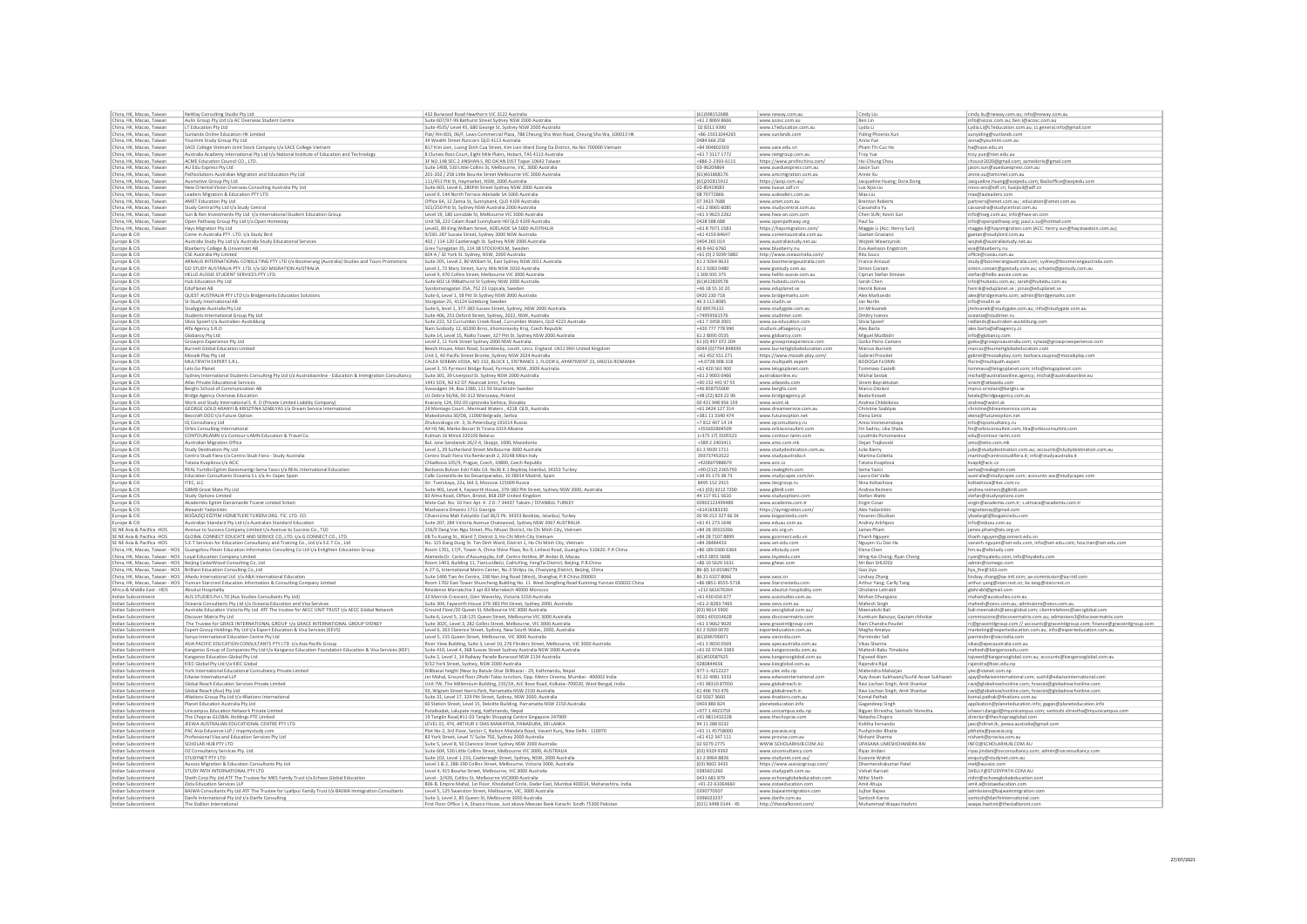| China, HK, Macao, Taiwar                  | NeWay Consulting Studio Pty Ltd                                                                                                            | 432 Bu<br>wood Road Hawthorn VIC 3122 Australi                                                                                                                                                                                            | (61)39815268                       | www.neway.com.au                                | Cindy Liu                                             | cindy.liu@neway.com.au; info@neway.com.au                                                                                |
|-------------------------------------------|--------------------------------------------------------------------------------------------------------------------------------------------|-------------------------------------------------------------------------------------------------------------------------------------------------------------------------------------------------------------------------------------------|------------------------------------|-------------------------------------------------|-------------------------------------------------------|--------------------------------------------------------------------------------------------------------------------------|
| China, HK, Macao, Taiwan                  | Aulin Group Pty Ltd t/a AC Overseas Student Centre                                                                                         | Suite 607/97-99 Bathurst Street Sydney NSW 2000 Australia                                                                                                                                                                                 | +61 2 8069 866                     | www.acosc.com.au                                | Ben Lin                                               | info@acosc.com.au; ben.l@acosc.com.au                                                                                    |
| China, HK, Macao, Taiwan                  | LT Education Pty Ltd                                                                                                                       | Suite 4535/ Level 45, 680 George St, Sydney NSW 2000 Australia                                                                                                                                                                            | 02 8311 9390                       | www.LTeducation.com.ar                          | Lydia Li                                              | Lydia.Li@LTeducation.com.au; Lt.general.info@gmail.com                                                                   |
| China, HK, Macao, Taiwan                  | Sunlands Online Education HK Limited                                                                                                       | Flat/ Rm 603, 06/F, Laws Commercial Plaza, 788 Cheung Sha Wan Road, Cheung Sha Wa, 100013 HK                                                                                                                                              | +86-15011044265                    | www.sunlands.com                                | Yiding Phoenix Xun                                    | xunyiding@sunlands.com                                                                                                   |
| China, HK, Macao, Taiwan                  |                                                                                                                                            |                                                                                                                                                                                                                                           | 0484 666 258                       |                                                 | Anna Yue                                              |                                                                                                                          |
|                                           | Youimmi Study Group Pty Ltd<br>SACE College Vietnam Joint Stock Company t/a SACE College Vietnam                                           | 34 Wealth Street Runcorn QLD 4113 Australia                                                                                                                                                                                               |                                    |                                                 |                                                       | anna@youimmi.com.au                                                                                                      |
| China, HK, Macao, Taiwan                  |                                                                                                                                            | B17 Kim Lien, Luong Dinh Cua Street, Kim Lien Ward Dong Da District, Ha Noi 700000 Vietnam                                                                                                                                                | +84 904802303                      | www.sace.edu.vn                                 | Pham Thi Cuc Ha                                       | ha@sace.edu.vn                                                                                                           |
| China, HK, Macao, Taiwan                  | Australia Academy International Pty Ltd t/a National Institute of Education and Technology                                                 | 8 Clunies Ross Court, Eight Mile Plains, Hobart, TAS 4113 Australia                                                                                                                                                                       | +61 7 3117 177                     | www.nietgroup.com.au                            | Troy Yue                                              | troy.yue@niet.edu.au                                                                                                     |
| China, HK, Macao, Taiwan                  | ACME Education Council CO., LTD.                                                                                                           | SF NO.148 SEC.2 JINSHAN S. RD DA'AN DIST Taipei 10642 Taiwar                                                                                                                                                                              | +886-2-2393-6115                   | https://www.profinchina.com/                    | Hsi-Chiung Chou                                       | chousir2020@gmail.com; acmedoris@gmail.com                                                                               |
| China, HK, Macao, Taiwan                  | AU Edu Express Pty Ltd                                                                                                                     | Suite 1408, 530 Little Collins St, Melbourne, VIC, 3000 Australia                                                                                                                                                                         | 03-96209864                        | www.aueduexpress.com.au                         | Jason Sun                                             | jason.sun@aueduexpress.com.au                                                                                            |
| China, HK, Macao, Taiwar                  | Pathsolutions Australian Migration and Education Pty Ltd                                                                                   | 201-202 / 258 Little Bourke Street Melbourne VIC 3000 Australia                                                                                                                                                                           | (61)401868176                      | www.amcmigration.com.au                         | Annie Xu                                              | annie.xu@amcmel.com.au                                                                                                   |
| China, HK, Macao, Taiwar                  | Ausmotive Group Pty Ltd                                                                                                                    | 111/451 Pitt St, Haymarket, NSW, 2000 Australia                                                                                                                                                                                           | (61)292815912                      | https://aoqi.com.au/                            | Jacqueline Huang; Dora Dong                           | Jacqueline.Huang@aoqiedu.com; Backoffice@aoqiedu.com                                                                     |
| China, HK, Macao, Taiwan                  | New Oriental Vision Overseas Consulting Australia Pty Ltd                                                                                  | Suite 603, Level 6, 280Pitt Street Sydney NSW 2000 Australia                                                                                                                                                                              | 02-85419083                        | www.liuxue.xdf.cn                               | Lux Xijia Liu                                         | novo-anz@xdf.cn; liuxijia3@xdf.cn                                                                                        |
| China, HK, Macao, Taiwan                  | Leaders Migration & Education PTY LTD                                                                                                      | Level 9, 144 North Terrace Adelaide SA 5000 Australia                                                                                                                                                                                     | 08 70 77 28 66                     | www.auleaders.com.au                            | Max Liu                                               | max@auleaders.com                                                                                                        |
| China, HK, Macao, Taiwan                  | AMET Education Pty Ltd                                                                                                                     | Office 6A, 12 Zamia St, Sunnybank, QLD 4109 Australia                                                                                                                                                                                     | 07 3423 7688                       | www.amet.com.au                                 | <b>Brenton Roberts</b>                                | partners@amet.com.au ; education@amet.com.au                                                                             |
| China, HK, Macao, Taiwan                  | Study Central Pty Ltd t/a Study Central                                                                                                    |                                                                                                                                                                                                                                           | +61 2 8065 608!                    |                                                 |                                                       |                                                                                                                          |
| China, HK, Macao, Taiwan                  |                                                                                                                                            | 501/250 Pitt St, Sydney NSW Australia 2000 Australia<br>Level 19, 180 Lonsdale St, Melbourne VIC 3000 Australia                                                                                                                           | +61 3 9623 2262                    | www.studycentral.com.au                         | Cassandra Yu                                          | cassandra@studycentral.com.au                                                                                            |
|                                           | Sun & Ren Investments Pty Ltd t/a International Student Education Group                                                                    |                                                                                                                                                                                                                                           |                                    | www.hwa-an.com.com                              | Chen SUN; Kevin Sun                                   | info@iseg.com.au; info@hwa-an.com                                                                                        |
| China, HK, Macao, Taiwan                  | Open Pathway Group Pty Ltd t/a Open Homestay                                                                                               | Unit 58, 223 Calam Road Sunnybank Hill QLD 4109 Australia                                                                                                                                                                                 | 0428 588 688                       | www.openpathway.org                             | Paul Su                                               | info@openpathway.org; paul.x.su@hotmail.com                                                                              |
| China, HK, Macao, Taiwar                  | Hays Migration Pty Ltd                                                                                                                     | Level2, 89 King William Street, ADELAIDE SA 5000 AUSTRALIA                                                                                                                                                                                | $+61870711583$                     | https://haysmigration.com                       | Maggie Li (Acc: Henry Sur                             | maggie.li@haysmigration.com (ACC: henry.sun@haystaxation.com.au)                                                         |
| Europe & CIS                              | Come in Australia PTY. LTD. t/a Study Bird                                                                                                 | 9/281-287 Sussex Street, Sydney 2000 NSW Australia                                                                                                                                                                                        | +61 4159 84647                     | www.comeinaustralia.com.au                      | Gaetan Graziano                                       | gaetan@studybird.com.au                                                                                                  |
| Europe & CIS                              | Australia Study Pty Ltd t/a Australia Study Educational Services                                                                           | 402 / 114-120 Castlereagh St. Sydney NSW 2000 Australia                                                                                                                                                                                   | 0404 265 014                       | www.australiastudy.net.au                       | Wojtek Wawrzynski                                     | wojtek@australiastudy.net.au                                                                                             |
| urope & CIS                               | Blueberry College & Universitet AB                                                                                                         | Grev Turegatan 35, 114 38 STOCKHOLM, Sweden                                                                                                                                                                                               | 46 8 442 6760                      | www.blueberry.nu                                | Eva Axelsson Engstrom                                 | eva@blueberry.nu                                                                                                         |
| rope & CIS                                | CSE Australia Pty Limited                                                                                                                  | 604 A / 32 York St. Sydney, NSW, 2000 Australia                                                                                                                                                                                           | +61 (0) 2 9299 5882                | http://www.cseaustralia.com/                    | Rita Szucs                                            | office@cseau.com.au                                                                                                      |
| urope & CIS                               | ARNAUD INTERNATIONAL CONSULTING PTY LTD t/a Boomerang (Australia) Studies and Tours Promotions                                             | Suite 205, Level 2, 80 William St, East Sydney NSW 2011 Australia                                                                                                                                                                         | 61 2 9 2 6 4 9 6 3 3               | www.boomerangaustralia.com                      | France Arnaud                                         |                                                                                                                          |
|                                           | GO STUDY AUSTRALIA PTY. LTD. t/a GO MIGRATION AUSTRALIA                                                                                    |                                                                                                                                                                                                                                           | 61 2 9 2 8 3 0 4 8 0               |                                                 | Simon Costair                                         | study@boomerangaustralia.com; sydney@boomerangaustralia.com                                                              |
| rope & CIS                                |                                                                                                                                            | Level 2, 72 Mary Street, Surry Hills NSW 2010 Australia                                                                                                                                                                                   |                                    | www.gostudy.com.au                              |                                                       | simon.costain@gostudy.com.au; schools@gostudy.com.au                                                                     |
| rope & CIS                                | HELLO AUSSIE STUDENT SERVICES PTY. LTD.                                                                                                    | Level 9, 470 Collins Street, Melbourne VIC 3000 Australia                                                                                                                                                                                 | 1 300 935 375                      | www.helllo-aussie.com.au                        | Ciprian Stefan Stinean                                | stefan@hello-aussie.com.au                                                                                               |
| urope & CIS                               | Hub Education Pty Ltd                                                                                                                      | Suite 602 L6 99Bathurst St Sydney NSW 2000 Australia                                                                                                                                                                                      | (61)422839578                      | www.hubedu.com.au                               | Sarah Chen                                            | info@hubedu.com.au; sarah@hubedu.com.au                                                                                  |
| rope & CIS                                | EduPlanet AB                                                                                                                               | Syssiomansgatan 35A, 752 23 Uppsala, Sweden                                                                                                                                                                                               | +46 18 55 10 20                    | www.eduplanet.se                                | Henrik Boivie                                         | henrik@eduplanet.se ; jonas@eduplanet.se                                                                                 |
| rope & CIS                                | QUEST AUSTRALIA PTY LTD t/a Bridgemarks Education Solutions                                                                                | Suite 6, Level 1, 58 Pitt St Sydney NSW 2000 Australia                                                                                                                                                                                    | 0420 230 718                       | www.bridgemarks.com                             | Alex Markovsk                                         | alex@bridgemarks.com; admin@bridgemarks.com                                                                              |
| rope & CIS                                | SI-Study International AB                                                                                                                  | Storgatan 25, 41124 Göteborg Sweder                                                                                                                                                                                                       | 46 3 113 8085                      | www.studin.se                                   | Jan Norlin                                            | info@studin.se                                                                                                           |
| rope & CIS                                |                                                                                                                                            | Suite 6, level 1, 377-383 Sussex Street, Sydney, NSW 2000 Australia                                                                                                                                                                       | 02 89576132                        | www.studygate.com.au                            | Jiri Mrkvanek                                         |                                                                                                                          |
| rope & CIS                                | Studygate Australia Pty Ltd<br>Students International Group Pty Ltd                                                                        | Suite 406, 251 Oxford Street, Sydney, 2022, NSW, Australia                                                                                                                                                                                | +74959561576                       | www.studinter.com                               | Dmitry Ivanov                                         | jmrkvanek@studygate.com.au; info@studygate.com.au<br> oceania@studinter.ru                                               |
| rope & CIS                                | Silvia Spoerl t/a Australien-Ausbildung                                                                                                    | Suite 222, 52 Currumbin Creek Road, Currumbin Waters, QLD 4223 Australia                                                                                                                                                                  | +61 7 3458 2001                    |                                                 | Silvia Spoerl                                         | redlands@australien-ausbildung.com                                                                                       |
|                                           |                                                                                                                                            |                                                                                                                                                                                                                                           |                                    | www.aa-education.com                            |                                                       |                                                                                                                          |
| rope & CIS                                | Alfa Agency S.R.O                                                                                                                          | Nam Svobody 12, 60200 Brno, Jihomoravsky Kraj, Czech Republi                                                                                                                                                                              | +420 777 778 990                   | studium.alfaagency.cz                           | Ales Barta                                            | ales.barta@alfaagency.cz                                                                                                 |
| rope & CIS                                | Globancy Pty Ltd                                                                                                                           | Suite 14, Level 15, Rialto Tower, 327 Pitt St. Sydney NSW 2000 Australia                                                                                                                                                                  | 61 2 8095 0535                     | www.globancy.com                                | Miguel Mudbidr                                        | info@globancy.com                                                                                                        |
| rope & CIS                                | Growpro Experience Pty Ltd                                                                                                                 | Level 2, 11 York Street Sydney 2000 NSW Australia.                                                                                                                                                                                        | 61 (0) 497 072 204                 | www.growproexperience.com                       | Goiko Peiro-Caman                                     | goiko@growproaustralia.com; sylwia@growproexperience.com                                                                 |
| rope & CIS                                | <b>Burnett Global Education Limited</b>                                                                                                    | Beech House, Main Road, Scamblesby, Louth, Lincs. England. LN11 9XH United Kingdom                                                                                                                                                        | 0044 (0)7794 848939                | www.burnettglobaleducation.com                  | Marcus Burnett                                        | marcus@burnettglobaleducation.com                                                                                        |
| rope & CIS                                | Mozaik Play Pty Ltd                                                                                                                        | Unit 1, 40 Pacific Street Bronte, Sydney NSW 2024 Australia                                                                                                                                                                               | +61 452 551 271                    | https://www.mozaik-play.com/                    | Gabriel Provide                                       | gabriel@mozaikplay.com; barbara.zsupos@mozaikplay.com                                                                    |
| rope & CIS                                | MULTIPATH EXPERT S.R.L                                                                                                                     | CALEA SERBAN VODA, NO 232, BLOCK 1, ENTRANCE 1, FLOOR 6, APARTMENT 23, 040216 ROMANIA                                                                                                                                                     | +4.0728.908.318                    | www.multipath.expert                            | <b>BODOGA FLORIN</b>                                  | florin@multipath.expert                                                                                                  |
| rope & CIS                                | Lets Go Planet                                                                                                                             | Level 3, 55 Pyrmont Bridge Road, Pyrmont, NSW, 2009 Australia                                                                                                                                                                             | +61 420 561 900                    | www.letsgoplanet.com                            | ommaso Castell                                        | tommaso@letsgoplanet.com; info@letsgoplanet.com                                                                          |
| rope & CIS                                | Sydney International Students Consulting Pty Ltd t/a Australiaonline - Education & Immigration Consultancy                                 | Suite 301, 39 Liverpool St. Sydney NSW 2000 Australia                                                                                                                                                                                     | $+6129003046$                      |                                                 | Michal Sestak                                         |                                                                                                                          |
|                                           |                                                                                                                                            |                                                                                                                                                                                                                                           |                                    | australiaonline.eu                              |                                                       | $\text{michal@australiaonline}. \text{agency; michal@australiaonline}. \text{eu}$                                        |
| rope & CIS                                | Atlas Private Educational Services                                                                                                         | 1441 SOK, N2 K2 D7 Alsancak Izmir, Turkey                                                                                                                                                                                                 | +90 232 441 97 55                  | www.atlasedu.com                                | Sinem Bayraktuta                                      | sinem@atlasedu.com                                                                                                       |
| rope & CIS                                | Berghs School of Communication AB                                                                                                          | Sveavägen 34, Box 1380, 111 93 Stockholm Sweder                                                                                                                                                                                           | +46 858755000                      | www.berghs.com                                  | Marco Otolan                                          | marco.ortolani@berghs.se                                                                                                 |
| rope & CIS                                | <b>Bridge Agency Overseas Education</b>                                                                                                    | UL Dobra 56/66, 00-312 Warszawa, Poland                                                                                                                                                                                                   | +48 (22) 829 22 96                 | www.bridgeagency.pl                             | Beata Kossek                                          | beata@bridgeagency.com.au                                                                                                |
| rope & CIS                                | Work and Study International S. R. O (Private Limited Liability Company)                                                                   | Kvacany 124, 032 03 Liptovska Sielnica, Slovakia                                                                                                                                                                                          | 00 421 948 956 159                 | www.wsint.sk                                    | Andrea Chlebikova                                     | andrea@wsint.sk                                                                                                          |
| rope & CIS                                | GEORGE GOLD ARANYI & KRISZTINA SZABLYAS t/a Dream Service Internationa                                                                     | 24 Montego Court, Mermaid Waters, 4218 QLD, Australia                                                                                                                                                                                     | +61 0424 127 314                   | www.dreamservice.com.au                         | Christine Szablyas                                    | christine@dreamservice.com.au                                                                                            |
| rope & CIS                                | Beocraft DOO t/a Future Option                                                                                                             | Makedonska 30/D8, 11000 Belgrade, Serbia                                                                                                                                                                                                  | +381 11 3340 474                   | www.futureoption.net                            | Elena Simic                                           | elena@futureoption.net                                                                                                   |
| rope & CIS                                | IQ Consultancy Ltd                                                                                                                         | Zhukovskogo str. 3. St.Petersburg 191014 Russia                                                                                                                                                                                           | +78124071414                       | www.ioconsultancy.ru                            | Anna Voznesenskava                                    | info@iqconsultancy.ru                                                                                                    |
| rope & CIS                                | Orbis Consulting International                                                                                                             | A4 H1 N6, Marko Bocari St Tirana 1019 Albania                                                                                                                                                                                             | +35569280450                       |                                                 | Fin Sadriu; Lika Shala                                |                                                                                                                          |
|                                           |                                                                                                                                            |                                                                                                                                                                                                                                           |                                    | www.orbisconsultint.con                         |                                                       | fin@orbisconsultint.com; lika@orbisconsultint.com                                                                        |
| rope & CIS                                | CONTOURLAMN t/a Contour-LAMN Education & Travel Co.                                                                                        | Kulman 16 Minsk 220100 Belarus                                                                                                                                                                                                            | (+375 17) 3505523                  | www.contour-lamn.com                            | Lyudmila Ponomarev                                    | edu@contour-lamn.com                                                                                                     |
| rope & CIS                                | Australian Migration Office                                                                                                                | Bul. Jane Sandanski 26/2-4, Skopje, 1000, Macedonia                                                                                                                                                                                       | +389 2 2403411                     | www.amo.com.mk                                  | Dejan Trajkovski                                      | amo@amo.com.mk                                                                                                           |
| rope & CIS                                | Study Destination Pty Ltd                                                                                                                  | Level 1, 29 Sutherland Street Melbourne 3000 Australia                                                                                                                                                                                    | 61 3 9939 1711                     | www.studydestination.com.au                     | Julie Bierry                                          | julie@studydestination.com.au; accounts@studydestination.com.au                                                          |
| rope & CIS                                | Centro Studi Fiera t/a Centro Studi Fiera - Study Australia                                                                                | Centro Studi Fiera Via Rembrandt 2, 20148 Milan Italy                                                                                                                                                                                     | 393737453522                       | www.studyaustralia.it                           | Martina Colletta                                      | martina@centrostudifiera.it; info@studyaustralia.it                                                                      |
| rope & CIS                                | Tatana Kvapilova t/a ACIC                                                                                                                  | Chladkova 105/9, Prague, Czech, 10800, Czech Republic                                                                                                                                                                                     | +420607988679                      |                                                 | Tatana Kvapilova                                      | kvapil@acic.cz                                                                                                           |
|                                           |                                                                                                                                            |                                                                                                                                                                                                                                           |                                    |                                                 |                                                       |                                                                                                                          |
|                                           |                                                                                                                                            |                                                                                                                                                                                                                                           |                                    | www.acic.cz                                     |                                                       |                                                                                                                          |
| rope & CIS                                | REAL Yurtdisi Egitim Danismanligi Sema Yazıcı t/a REAL International Education                                                             | Barbaros Bulvarı Eski Yıldız Cd. No36 K:1 Beşiktaş İstanbul, 34353 Turkey                                                                                                                                                                 | +90 (212) 2365793                  | www.realegitim.com                              | Sema Yazici                                           | sema@realegitim.com                                                                                                      |
| rope & CIS                                | Education Consultants Oceania S.L t/a A+ Capec Spair                                                                                       | Calle Costanilla de los Desamparados, 10 28014 Madrid, Spair                                                                                                                                                                              | +34 91 173 38 73                   | www.studycapec.com/er                           | Laura Del Valle                                       |                                                                                                                          |
| rope & CIS                                | ITEC, LLC                                                                                                                                  | Str. Tverskaya, 22a, bld.3, Moscow 125009 Russia                                                                                                                                                                                          | 8495 152 2915                      | www.itecgroup.ru                                | Nina Koltashova                                       | australia@studycapec.com; accounts-aus@studycapec.com<br>koltashova@itec.com.ru                                          |
| urope & CIS                               | G8M8 Great Mate Pty Ltd                                                                                                                    | Suite 401, Level 4, Fayworth House, 379-383 Pitt Street, Sydney NSW 2000, Australia                                                                                                                                                       | +61 (02) 9212 7200                 | www.g8m8.com                                    | Andrea Reimers                                        | andrea.reimers@g8m8.com                                                                                                  |
| rope & CIS                                | Study Options Limited                                                                                                                      | 83 Alma Road, Clifton, Bristol, BS8 2DP United Kingdon                                                                                                                                                                                    | 44 117 911 5610                    | www.studyoptions.cor                            | Stefan Watt                                           | stefan@studyoptions.com                                                                                                  |
| urope & CIS                               | Akademiks Egitim Danismanlik Ticaret Limited Sirketi                                                                                       | Mete Cad. No: 10 Yeni Apt. K: 2 D: 7 34437 Taksim / İSTANBUL TURKEY                                                                                                                                                                       | 00902122499489                     | www.academix.com.tr                             | Engin Cosar                                           | engin@academix.com.tr; s.atmaca@academix.com.tr                                                                          |
| Europe & CIS                              | Alexandr Yadarinkin                                                                                                                        | Mashavera Dmanisi 1711 Georgia                                                                                                                                                                                                            | +61416583330                       |                                                 | Alex Yadarinkin                                       |                                                                                                                          |
| Europe & CIS                              | BOĞAZİÇİ EĞİTİM HİZMETLERİ TURİZM ORG. TİC. LTD. CO.                                                                                       |                                                                                                                                                                                                                                           | 00 90 212 327 66 34                | https://aymigration.com/<br>www.bogaziciedu.com | Yeseren Okutkan                                       | migrationay@gmail.com                                                                                                    |
| Europe & CIS                              | Australian Standard Pty Ltd t/a Australian Standard Educatio                                                                               | Cihannüma Mah Eskiyıldız Cad 36/2 Pk: 34353 Besiktas, Istanbul, Turkey<br>Suite 207, 284 Victoria Avenue Chatswood, Sydney NSW 2067 AUSTRALIA                                                                                             | +61 41 273 1646                    | www.eduau.com.au                                | Andrey Arkhipov                                       | ybaslargil@bogaziciedu.com<br>info@eduau.com.au                                                                          |
|                                           |                                                                                                                                            |                                                                                                                                                                                                                                           |                                    |                                                 |                                                       |                                                                                                                          |
| SE NE Asia & Pacifica -HOS                | Avenue to Success Company Limited t/a Avenue to Success Co., TLD                                                                           | 156/9 Dang Van Ngu Street, Phu Nhuan District, Ho Chi Minh City, Vietnam                                                                                                                                                                  | +84 28 39 3 3 3 2 6 6              | www.ats.org.vn                                  | James Pham                                            | james.pham@ats.org.vn                                                                                                    |
| SE NE Asia & Pacifica -HOS                | GLOBAL CONNECT EDUCATE AND SERVICE CO, LTD. t/a G CONNECT CO., LTD                                                                         | 6B Tu Xuong St., Ward 7, District 3, Ho Chi Minh City Vietnan                                                                                                                                                                             | +84 28 7107 8899                   | www.gconnect.edu.vr                             | Thanh Nguyen                                          | thanh.nguyen@gconnect.edu.vn                                                                                             |
| SE NE Asia & Pacifica -HOS                | S.E.T Services for Education Consultancy and Training Co., Ltd t/a S.E.T Co., Ltd                                                          | No. 115 Dang Dung St. Tan Dinh Ward, District 1, Ho Chi Minh City, Vietnam                                                                                                                                                                | +84 28484433                       | www.set-edu.com                                 | Nguyen Vu Dan Ha                                      | vananh.nguyen@set-edu.com, info@set-edu.com; hoa.tran@set-edu.com                                                        |
|                                           | China, HK, Macao, Taiwan - HOS   Guangzhou Peixin Education Information Consulting Co Ltd t/a Enlighten Education Group                    | Room 1701, 17/F, Tower A, China Shine Plaza, No.9, Linhexi Road, Guangzhou 510620. P.R China                                                                                                                                              | +86 189 0306 6364                  | www.eltstudy.con                                | Elena Chen                                            | hm.eu@eltstudy.com                                                                                                       |
|                                           | China, HK, Macao, Taiwan - HOS Loyal Education Company Limited                                                                             | Alameda Dr. Carlos d'Assumpção, Edf. Centro Hotline, 8º Andar-D, Macau                                                                                                                                                                    | +853 2855 5608                     | www.loyaledu.con                                | Wing Kai Chong; Ryan Chong                            | ryan@loyaledu.com; info@loyaledu.com                                                                                     |
|                                           | China, HK, Macao, Taiwan - HOS   Beijing CedarWood Consulting Co, Ltd                                                                      | Room 1403, Building 11, TianLunBeiLi, CaiHuYing, FengTai District, Beijing, P.R.China                                                                                                                                                     | +86 10 5629 1631                   | www.gheac.com                                   | Mr Ben SHUOQI                                         | admin@comego.com                                                                                                         |
|                                           | China, HK, Macao, Taiwan - HOS   Brilliant Education Consulting Co., Ltd                                                                   | A-27 G, International Metro Center, No.3 Shilipu Jia, Chaoyang District, Beijing, China                                                                                                                                                   | 86-(0) 10 65586779                 |                                                 | Gao Liya                                              | liya lhe@163.com                                                                                                         |
|                                           | China, HK, Macao, Taiwan - HOS AAedu International Ltd. t/a A&A International Education                                                    |                                                                                                                                                                                                                                           | 86 21 6327 8066                    | www.aaoz.cn                                     |                                                       |                                                                                                                          |
|                                           |                                                                                                                                            |                                                                                                                                                                                                                                           | +86 0851-8555-5718                 | www.Starcrestedu.com                            | Lindsay Zhang                                         | lindsay.zhang@aa-intl.com; aa-commission@aa-intl.com                                                                     |
| Africa & Middle East - HOS                | China, HK, Macao, Taiwan - HOS   Yunnan Starcrest Education Information & Consulting Company Limited<br>Absolut Hospitality                | Suite 1406 Tian An Centre, 338 Nan Jing Road (West), Shanghai, P.R China 200003<br>Room 1702 East Tower Shuncheng Building No. 11 West Dongfeng Road Kunming Yunnan 650032 China<br>Résidence Marrakchia 3 apt B3 Marrakech 40000 Morocco | +212 661676264                     | www.absolut-hospitality.com                     | Arthur Yang; Carlly Tang<br>Ghizlaine Lahrabli        | arthur.yang@starcrest.cn; ke.tang@starcrest.cn<br>glahrabli@gmail.com                                                    |
| Indian Subcontine                         | AUS STUDIES Pvt LTD (Aus Studies Consultants Pty Ltd)                                                                                      | 32 Merrick Crescent, Glen Waverley, Victoria 3150 Australia                                                                                                                                                                               | +61 430 656 67                     | www.ausstudies.com.au                           |                                                       | mohan@ausstudies.com.au                                                                                                  |
|                                           |                                                                                                                                            |                                                                                                                                                                                                                                           |                                    |                                                 | Mohan Dhungana                                        |                                                                                                                          |
| Indian Subcontinen                        | Oceania Consultants Pty Ltd t/a Oceania Education and Visa Services                                                                        | Suite 304, Fayworth House 379-383 Pitt Street, Sydney 2000, Australia                                                                                                                                                                     | $+61 - 2 - 82837465$               | www.oevs.com.au                                 | Mahesh Singh                                          | mahesh@oevs.com.au; admissions@oevs.com.au                                                                               |
| Indian Subcontiner                        | Australia Education Victoria Pty Ltd ATF The trustee for AECC UNIT TRUST t/a AECC Global Network                                           | Ground Floor/20 Queen St, Melbourne VIC 3000 Australia                                                                                                                                                                                    | (03) 9614 5900                     | www.aeccglobal.com.au/                          | Meenakshi Bali                                        | bali.meenakshi@aeccglobal.com; clientrelations@aeccglobal.com                                                            |
| Indian Subcontinen                        | Discover Matrix Pty Ltd                                                                                                                    | Suite 6, Level 5, 118-125 Queen Street, Melbourne VIC 3000 Australia                                                                                                                                                                      | 0061 401014628                     | www.discovermatrix.cor                          | Kumkum Baisoya; Gautam chhokar                        | ommissions@discovermatrix.com.au; admissions3@discovermatrix.com                                                         |
| Indian Subcontinen                        | The Trustee for GRACE INTERNATIONAL GROUP 1/a GRACE INTERNATIONAL GROUP SYDNEY                                                             | Suite 302C, Level 3, 282 Collins Street, Melbourne, VIC 3000 Australia                                                                                                                                                                    | +61 3 9662 9020                    | www.graceintlgroup.com                          | Ram Chandra Poudel                                    | rc@graceintlgroup.com // accounts@graceintlgroup.com; finance@graceintlgroup.com                                         |
| Indian Subcontinent                       | Expert Group Holdings Pty Ltd t/a Expert Education & Visa Services (EEVS)                                                                  |                                                                                                                                                                                                                                           | 61 2 9 2 6 9 0 0 7 0               | experteducation.com.au                          | Megha Amatya                                          | marketing@experteducation.com.au; info@experteducation.com.au                                                            |
| Indian Subcontinen                        | Sonya International Education Centre Pty Ltd                                                                                               | Level 6, 263 Clarence Street, Sydney, New South Wales, 2000, Australia<br>Level 5, 155 Queen Street, Melbourne, VIC 3000 Australia                                                                                                        | (61)396700071                      | www.siecindia.com                               | Parminder Sall                                        | parminder@siecindia.com                                                                                                  |
| Indian Subcontinen                        | ASIA PACIFIC EDUCATION CONSULTANTS PTY LTD t/a Asia Pacific Group                                                                          | River View Building, Suite 3, Level 10, 276 Flinders Street, Melbourne, VIC 3000 Australia                                                                                                                                                | +61 3 9650 056                     | www.apecaustralia.com.au                        | Vikas Sharma                                          | vikas@apecaustralia.com.au                                                                                               |
| Indian Subcontiner                        |                                                                                                                                            | Suite 410, Level 4, 368 Sussex Street Sydney Australia NSW 2000 Australia                                                                                                                                                                 | +61 02 9744 3383                   | www.kangarooedu.com.au                          | Mahesh Babu Timalsin                                  |                                                                                                                          |
| Indian Subcontinen                        | Kangaroo Group of Companies Pty Ltd t/a Kangaroo Education Foundation Education & Visa Services (KEF)<br>Kangaroo Education Global Pty Ltd |                                                                                                                                                                                                                                           | (61)450587625                      | www.kangarooglobal.com.au                       |                                                       | mahesh@kangarooedu.com                                                                                                   |
| Indian Subcontiner                        |                                                                                                                                            | Suite 2, Level 1, 14 Railway Parade Burwood NSW 2134 Australia<br>9/32 York Street, Sydney, NSW 2000 Australia                                                                                                                            | 0280844656                         |                                                 | Tajveed Alam                                          | tajveed@kangarooglobal.com.au; accounts@kangarooglobal.com.au                                                            |
|                                           | KIEC Global Pty Ltd t/a KIEC Global                                                                                                        |                                                                                                                                                                                                                                           |                                    | www.kiecglobal.com.au                           | Rajendra Rijal                                        | rajendra@kiec.edu.np                                                                                                     |
| Indian Subcontinent                       | York International Educational Consultancy Private Limited                                                                                 | Dillibazar height (Near by Batule Ghar Dillibazar - 29, Kathmandu, Nepal                                                                                                                                                                  | 977-1-4212227                      | www.yiec.edu.np                                 | Mahendra Maharjar                                     | yiec@vianet.com.np                                                                                                       |
| Indian Subcontinen                        | Edwise International LLP                                                                                                                   | Jer Mahal, Ground floor, Dhobi Talao Junction, Opp. Metro Cinema, Mumbai - 400002 India                                                                                                                                                   | 91 22 4081 3333                    | www.edwiseinternational.com                     | Ajay Assan Sukhwani/Sushil Assan Sukhwani             | ajay@edwiseinternational.com; sushil@edwiseinternational.com                                                             |
| Indian Subcontinen                        | Global Reach Education Services Private Limited                                                                                            | Unit 7W, The Millennium Building, 235/2A, AIC Bose Road, Kolkata-700020, West Bengal, India                                                                                                                                               | +91 98310 87050                    | www.globalreach.in                              | Ravi Lochan Singh; Amit Shankar                       |                                                                                                                          |
| Indian Subcontinen                        | Global Reach (Aus) Pty Ltd                                                                                                                 | 93, Wigram Street Harris Park, Parramatta NSW 2150 Australia                                                                                                                                                                              | 61 406 743 476                     | www.globalreach.in                              | Ravi Lochan Singh; Amit Shankar                       | ravi@globalreachonline.com; hrassist@globalreachonline.com<br>ravi@globalreachonline.com; hrassist@globalreachonline.com |
| Indian Subcontinen                        | 4Nations Group Pty Ltd t/a 4Nations International                                                                                          | Suite 31, Level 17, 329 Pitt Street, Sydney, NSW 2000, Australi                                                                                                                                                                           | 02 9267 3660                       | www.4nations.com.au                             | Komal Pathak                                          | komal.pathak@4nations.com.au                                                                                             |
| Indian Subcontine                         | Planet Education Australia Pty Ltd                                                                                                         | 60 Station Street, Level 15, Deloitte Building, Parramatta NSW 2150 Australia                                                                                                                                                             | 0403 880 824                       | planeteducation.info                            |                                                       | application@planeteducation.info; gagan@planeteducation.info                                                             |
| Indian Subcontiner                        | Unicampus Education Network Private Limited                                                                                                | Putalisadak, Lalupate marg, Kathmandu, Nepa                                                                                                                                                                                               | +977 1 442375                      | www.unicampus.edu.np                            | Gagandeep Singh<br>Bigyan Shrestha; Santoshi Shrestha |                                                                                                                          |
|                                           |                                                                                                                                            |                                                                                                                                                                                                                                           |                                    |                                                 |                                                       | ishwori.dangol@myunicampus.com; santoshi.shrestha@myunicampus.com                                                        |
| Indian Subcontinen<br>Indian Subcontinen  | The Chopras GLOBAL Holdings PTE Limited                                                                                                    | 19 Tanglin Road,#11-03 Tanglin Shopping Centre Singapore 247909                                                                                                                                                                           | +91 9811432228                     | www.thechopras.com                              | Natasha Chopra                                        | director@thechoprasglobal.com                                                                                            |
|                                           | JEEWA AUSTRALIAN EDUCATIONAL CENTRE PTY LTD                                                                                                | LEVEL 01, 474, ARTHUR V DIAS MAWATHA, PANADURA, SRI LANKA                                                                                                                                                                                 | 94 11 288 9232                     |                                                 | Kolitha Fernando                                      | jaec@sltnet.lk; jeewa.australia@gmail.com                                                                                |
| Indian Subcontinen                        | PAC Asia Eduserve LLP / mapmystudy.com                                                                                                     | Plot No-2, 3rd Floor, Sector C, Nelson Mandela Road, Vasant Kunj, New Delhi - 110070                                                                                                                                                      | +91 11 45758000                    | www.pacasia.org                                 | Pushpinder Bhatia                                     | pbhatia@pacasia.org                                                                                                      |
| Indian Subcontinen                        | Professional Visa and Education Services Pty Ltd                                                                                           | 83 York Street, Level 7/ Suite 702, Sydney 2000 Australia                                                                                                                                                                                 | +61 412 347 111                    | www.provisa.com.ar                              | Nishant Sharma                                        | nishant@provisa.com.au                                                                                                   |
| Indian Subcontinen                        | SCHOLAR HUB PTY LTD                                                                                                                        |                                                                                                                                                                                                                                           | 02 9279 2775                       | WWW.SCHOLARHUB.COM.AU                           | UPASANA UMESHCHANDRA RAI                              | INFO@SCHOLARHUB.COM.AU                                                                                                   |
| Indian Subcontinen                        | OZ Consultancy Services Pty. Ltd.                                                                                                          | Suite 5, Level 8, 50 Clarence Street Sydney NSW 2000 Australia<br>Suite 604, 530 Little Collins Street, Melbourne VIC 3000, AUSTRALIA                                                                                                     | (03) 9329 9392                     | www.ozconsultancy.com                           | Rivaz Jindan                                          | riyaz.jindani@ozconsultancy.com; admin@ozconsultancy.com                                                                 |
| Indian Subcontinen                        | STUDYNET PTY LTD                                                                                                                           | Suite 102, Level 1 233, Castlereagh Street, Sydney, NSW, 2000 Australia                                                                                                                                                                   | 61 2 8964 8826                     | www.studynet.com.au/                            | Evannie Wahid                                         | enquiry@studynet.com.au                                                                                                  |
| Indian Subcontine                         |                                                                                                                                            | Level 1 & 2, 288-290 Collins Street, Melbourne, Victoria 3000, Australia                                                                                                                                                                  | (03) 9602 3435                     |                                                 | Dharmendrakumar Pate                                  | mel@aussizz.co                                                                                                           |
|                                           | Aussizz Migration & Education Consultants Pty Ltd                                                                                          |                                                                                                                                                                                                                                           | 0385601260                         | https://www.aussizzgroup.com/                   |                                                       |                                                                                                                          |
| Indian Subcontinen<br>Indian Subcontinen  | STUDY PATH INTERNATIONAL PTY LTD                                                                                                           | Level 4, 415 Bourke Street, Melbourne, VIC 3000 Australia                                                                                                                                                                                 |                                    | www.studypath.com.au                            | Vishali Karnat<br>Mihir Sheth                         | SHELLY@STUDYPATH.COM.AU                                                                                                  |
|                                           | Sheth Corp Pty Ltd ATF The Trustee for MKS Family Trust t/a Echoes Global Education                                                        | Level - 2/420, Collins St, Melbourne VIC3000 Australia                                                                                                                                                                                    | 0431 681 879                       | www.echoesglobaleducation.com                   |                                                       | mihir@echoesglobaleducation.com                                                                                          |
| Indian Subcontinent                       | Zista Education Services LLP                                                                                                               | 806-B, Empire Mahal, 1st Floor, Khodadad Circle, Dadar East, Mumbai 400014, Maharashtra, India                                                                                                                                            | +91-22-61064660                    | www.zistaeducation.com                          | Amit Abuia                                            | amit.a@zistaeducation.com                                                                                                |
| Indian Subcontinent                       | BAJWA Consultants Pty Ltd ATF The Trustee for Lyallpur Family Trust t/a BAJWA Immigration Consultants                                      | Level 5, 125 Swanston Street, Melbourne, VIC, 3000 Australia                                                                                                                                                                              | 0390770507                         | www.bajwaimmigration.com                        | Juihar Baiwa                                          | admissions@bajwaimmigration.com                                                                                          |
| Indian Subcontinent<br>Indian Subcontinen | Danfe International Pty Ltd t/a Danfe Consulting<br>The Stallion Internationa                                                              | Suite 3, Level 2, 85 Queen St. Melbourne 3000 Australia<br>First Floor Office 1 A, Shazco House, Just above Meezan Bank Karachi Sindh 75300 Pakistan                                                                                      | 0396023237<br>(021) 3498 0144 - 45 | www.danfe.com.au<br>http://thestallionint.com   | Santosh Karna<br>Muhammad Waqas Hashn                 | santosh@danfeinternational.com<br>waqas.hashmi@thestallionint.cor                                                        |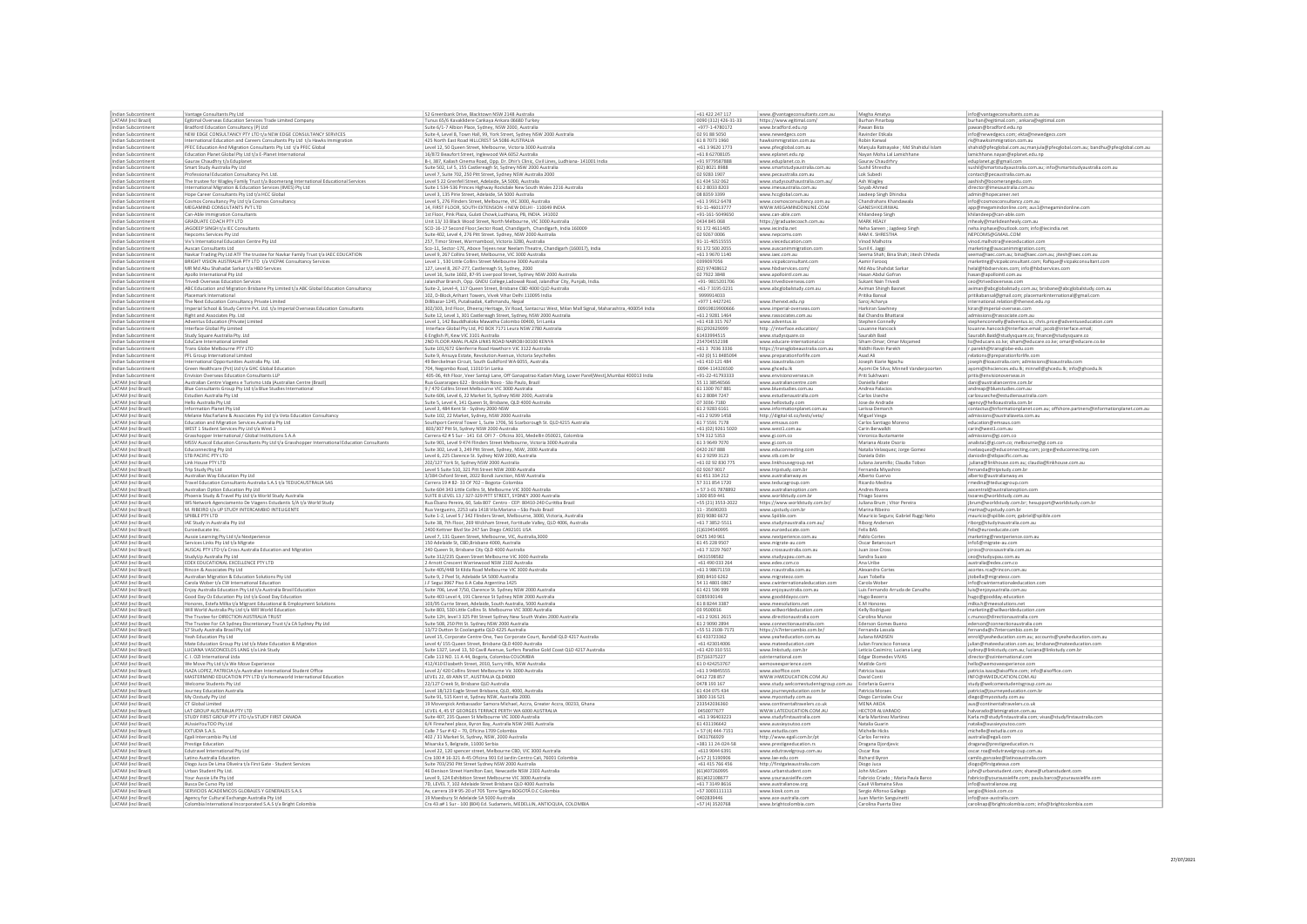|                                                   | Vantage Consultants Pty Ltd                                                                                           | 52 Greenbank Drive, Blacktown NSW 2148 Australia                                                                                                                                     | +61 422 247 117                | www.@vantageconsultants.com.au                                                        | Megha Amatya                                   | info@vantageconsultants.com.au                                                             |
|---------------------------------------------------|-----------------------------------------------------------------------------------------------------------------------|--------------------------------------------------------------------------------------------------------------------------------------------------------------------------------------|--------------------------------|---------------------------------------------------------------------------------------|------------------------------------------------|--------------------------------------------------------------------------------------------|
| LATAM (incl Brazil)                               | Egitimal Overseas Education Services Trade Limited Company                                                            | Tunus 65/6 Kavaklidere Cankaya Ankara 06680 Turkey                                                                                                                                   | 0090 (312) 426-31-33           | https://www.egitimal.com/                                                             | Burhan Pinarbaşı                               | burhan@egitimal.com ; ankara@egitimal.com                                                  |
| Indian Subcontinen                                | Bradford Education Consultancy (P) Ltd                                                                                | Suite 6/1-7 Albion Place, Sydney, NSW 2000, Australia                                                                                                                                | +977-1-4780172                 | www.bradford.edu.np                                                                   | Pawan Bista                                    | pawan@bradford.edu.np                                                                      |
| Indian Subcontinent                               | NEW EDGE CONSULTANCY PTY LTD t/a NEW EDGE CONSULTANCY SERVICES                                                        | Suite 4, Level 8, Town Hall, 99, York Street, Sydney NSW 2000 Australia                                                                                                              | 02 91 88 5050                  | www.newedgecs.com                                                                     | Ravinder Etikala                               | info@newedgecs.com; ekta@newedgecs.com                                                     |
| Indian Subcontinent                               | International Education and Careers Consultants Pty Ltd t/a Hawks Immigration                                         | 425 North East Road HILLCREST SA 5086 AUSTRALIA                                                                                                                                      | 61 8 70 73 1960                | hawksimmigration.com.au                                                               | Robin Karwal                                   | rk@hawksimmigration.com.au                                                                 |
| Indian Subcontinen                                | PFEC Education And Migration Consultants Pty Ltd t/a PFEC Global                                                      | Level 12, 50 Queen Street, Melbourne, Victoria 3000 Australia                                                                                                                        | +61 3 9620 1773                | www.pfecglobal.com.au                                                                 | Manjula Ratnayake; Md Shahidul Islam           | shahid@pfecglobal.com.au;manjula@pfecglobal.com.au; bandhu@pfecglobal.com.au               |
| Indian Subcontinent                               | Education Planet Global Pty Ltd t/a E-Planet International                                                            | 16/872 Beaufort Street, Inglewood WA 6052 Australia                                                                                                                                  | +61 8 62708105                 | www.eplanet.edu.np                                                                    | Nayan Moha Lal Lamichhane                      | lamichhane.nayan@eplanet.edu.np                                                            |
| Indian Subcontiner                                | Gaurav Chaudhry t/a Eduplane                                                                                          | B-I, 387, Kailash Cinema Road, Opp. Dr. Dhir's Clinic, Civil Lines, Ludhiana- 141001 India                                                                                           | +91 9779587888                 | www.eduplanet.co.in                                                                   | Gaurav Chaudrhry                               | eduplanet.gc@gmail.com                                                                     |
| Indian Subcontinent                               | Smart Study Australia Pty Ltd                                                                                         | Suite 502, Lvl 5, 155 Castlereagh St, Sydney NSW 2000 Australi                                                                                                                       | (02)80218988                   | www.smartstudyaustralia.com.au                                                        | Sushil Shrestha                                | sushil@smartstudyaustralia.com.au; info@smartstudyaustralia.com.au                         |
| Indian Subcontiner                                | Professional Education Consultancy Pvt. Ltd.                                                                          | Level 7, Suite 702, 250 Pitt Street, Sydney NSW Australia 2000                                                                                                                       | 02 9283 1907                   | www.pecaustralia.com.au                                                               | Lok Subedi                                     | contact@pecaustralia.com.au                                                                |
| Indian Subcontinen                                | The trustee for Wagley Family Trust t/a Boomerang International Educational Services                                  | Level 5 22 Grenfell Street, Adelaide, SA 5000, Australia                                                                                                                             | 61 434 532 062                 | www.studysouthaustralia.com.au                                                        | Ash Wagley                                     | aashish@boomerangedu.com                                                                   |
| Indian Subcontinent                               | International Migration & Education Services (IMES) Pty Ltd                                                           | Suite 1 534-536 Princes Highway Rockdale New South Wales 2216 Australia                                                                                                              | 61 2 8033 8203                 | www.imesaustralia.com.au                                                              | Soyab Ahmed                                    | director@imesaustralia.com.au                                                              |
| Indian Subcontinent                               | Hope Career Consultants Pty Ltd t/a HCC Global                                                                        | Level 3, 135 Pirie Street, Adelaide, SA 5000 Australia                                                                                                                               | 08 8359 3399                   | www.hccglobal.com.au                                                                  | Jasdeep Singh Dhindsa                          | admin@hopecareer.net                                                                       |
| Indian Subcontinent                               | Cosmos Consultancy Pty Ltd t/a Cosmos Consultancy                                                                     | Level 5, 276 Flinders Street, Melbourne, VIC 3000, Australia                                                                                                                         | +61 3 9912 6478                | www.cosmosconsultancy.com.au                                                          | Chandrahans Khandawala                         | info@cosmosconsultancy.com.au                                                              |
| Indian Subcontinent                               | MEGAMIND CONSULTANTS PVT LTD                                                                                          | 14, FIRST FLOOR, SOUTH EXTENSION -I NEW DELHI - 110049 INDIA                                                                                                                         | 91-11-46013777                 | WWW.MEGAMINDONLINE.COM                                                                | <b>GANESH KEJRIWAL</b>                         | app@megamindonline.com; aus1@megamindonline.com                                            |
| Indian Subcontinen                                | Can-Able Immigration Consultants                                                                                      | 1st Floor, Pink Plaza, Gulati Chowk,Ludhiana, PB, INDIA. 14100.                                                                                                                      | $+91 - 161 - 504965$           | www.can-able.com                                                                      | Khilandeep Singh                               | khilandeep@can-able.com                                                                    |
| Indian Subcontinent                               | GRADUATE COACH PTY LTD                                                                                                | Unit 13/33 Black Wood Street, North Melbourne, VIC 3000 Australia                                                                                                                    | 0434 845 068                   | https://graduatecoach.com.au                                                          | MARK HEALY                                     | mhealy@markdeanhealy.com.au                                                                |
| Indian Subcontinen                                | JAGDEEP SINGH t/a IEC Consultants                                                                                     | SCO-16-17 Second Floor, Sector Road, Chandigarh, Chandigarh, India 160009                                                                                                            | 91 172 4611405                 | www.iecindia.net                                                                      | Neha Sareen ; Jagdeep Singh                    | neha.inphase@outlook.com; info@iecindia.net                                                |
| Indian Subcontinen                                | Nepcoms Services Pty Ltd                                                                                              | Suite 402, Level 4, 276 Pitt Street. Sydney, NSW 2000 Australia                                                                                                                      | 02 9267 0006                   | www.nepcoms.com                                                                       | RAM K. SHRESTHA                                | NEPCOMS@GMAIL.COM                                                                          |
| Indian Subcontinent                               | Viv's International Education Centre Pty Ltd                                                                          | 257, Timor Street, Warrnambool, Victoria 3280, Australia                                                                                                                             | 91-11-40515555                 | www.vieceducation.com                                                                 | Vinod Malhotra                                 | vinod.malhotra@vieceducation.com                                                           |
| Indian Subcontinent                               | Auscan Consultants Ltd                                                                                                | Sco-11, Sector-17E, Above Tejees near Neelam Theatre, Chandigarh (160017), India                                                                                                     | 91 172 500 2055                | www.auscanimmigration.com                                                             | Sunil K. Jaggi                                 | marketing@auscanimmigration.com                                                            |
| Indian Subcontinent                               | Navkar Trading Pty Ltd ATF The trustee for Navkar Family Trust t/a IAEC EDUCATION                                     | Level 9, 267 Collins Street, Melbourne, VIC 3000 Australia                                                                                                                           | +61 3 9670 1140                | www.iaec.com.au                                                                       | Seema Shah; Bina Shah; Jitesh Chheda           | seema@iaec.com.au; bina@iaec.com.au; jitesh@iaec.com.au                                    |
| Indian Subcontinent                               | BRIGHT VISION AUSTRALIA PTY LTD t/a VICPAK Consultancy Services                                                       | Level 1, 530 Little Collins Street Melbourne 3000 Australia                                                                                                                          | 0399097056                     | www.vicpakconsultant.com                                                              | Aamir Farooq                                   | marketing@vicpakconsultant.com; Rafique@vicpakconsultant.com                               |
| Indian Subcontinen                                | MR Md Abu Shahadat Sarkar t/a HBD Services                                                                            | 127, Level 8, 267-277, Castlereagh St, Sydney, 2000                                                                                                                                  | (02) 97408612                  | www.hbdservices.com/                                                                  | Md Abu Shahdat Sarka                           | helal@hbdservices.com; info@hbdservices.com                                                |
| Indian Subcontinen                                | Apollo International Pty Ltd                                                                                          | Level 16, Suite 1602, 87-95 Liverpool Street, Sydney NSW 2000 Australia                                                                                                              | 02 7922 3848                   | www.apollointl.com.au                                                                 | Hasan Abdul Gofrar                             | hasan@apollointl.com.au                                                                    |
| Indian Subcontinent                               | Trivedi Overseas Education Services                                                                                   | lalandhar Branch, Opp. GNDU College, Ladowali Road, Jalandhar City, Punjab, India.                                                                                                   | +91-981520170                  | www.trivedioverseas.com                                                               | Sukant Nain Trivedi                            | ceo@trivedioverseas.com                                                                    |
| Indian Subcontinen                                | ABC Education and Migration Brisbane Pty Limited t/a ABC Global Education Consultancy                                 | Suite-2, Level-4, 117 Queen Street, Brisbane CBD 4000 QLD Australia                                                                                                                  | +61-7 3195 023:                | www.abcglobalstudy.com.au                                                             | Aviman Shingh Basne                            | aviman@abcglobalstudy.com.au; brisbane@abcglobalstudy.com.au                               |
| Indian Subcontinen<br>Indian Subcontinent         | lacemark International<br>The Next Education Consultancy Private Limited                                              | 102, D-Block, Arihant Towers, Vivek Vihar Delhi 110095 India<br>Dillibazar-1245, Putalisadak, Kathmandu, Nepal                                                                       | 9999914033<br>+977 1 4427241   | www.thenext.edu.np                                                                    | Pritika Bansal<br>Saroj Acharya                | pritikabansal@gmail.com; placemarkinternational@gmail.com                                  |
|                                                   |                                                                                                                       |                                                                                                                                                                                      | 00919819900666                 |                                                                                       |                                                | international.relation@thenext.edu.np                                                      |
| Indian Subcontinent<br>Indian Subcontinen         | Imperial School & Study Centre Pvt. Ltd. t/a Imperial Overseas Education Consultants<br>Right and Associates Pty. Ltd | 302/303, 3rd Floor, Dheeraj Heritage, SV Road, Santacruz West, Milan Mall Signal, Maharashtra, 400054 India<br>Suite 12, Level 1, 301 Castlereagh Street, Sydney, NSW 2000 Australia | +61 2 9281 1464                | www.imperial-overseas.com<br>www.rassociates.com.au                                   | Harkiran Sawhney<br>Bal Chandra Bhattarai      | kiran@imperial-overseas.com<br>admissions@rassociate.com.au                                |
| Indian Subcontinent                               | Adventus Education (Private) Limited                                                                                  | Level 1, 142 Bauddhaloka Mawatha Colombo 00400, Sri Lanka                                                                                                                            | +61 418 315 767                | www.adventus.io                                                                       | Stephen Connelly                               | stephenconnelly@adventus.io; chris.price@adventuseducation.com                             |
| Indian Subcontinen                                | Interface Global Ply Limited                                                                                          | Interface Global Pty Ltd, PO BOX 7171 Leura NSW 2780 Australia                                                                                                                       | (61)29262909                   | http://interface.education                                                            | Louanne Hancoc                                 | louanne.hancock@interface.email; jacob@interface.email;                                    |
| Indian Subcontinent                               | Study Square Australia Pty. Ltd                                                                                       | 6 English Pl, Kew VIC 3101 Australia                                                                                                                                                 | 61433994515                    | www.studysquare.co                                                                    | Saurabh Baid                                   | Saurabh.Baid@studysquare.co; finance@studysquare.co                                        |
| Indian Subcontiner                                | EduCare International Limite                                                                                          | 2ND FLOOR AMAL PLAZA LINKS ROAD NAIROBI 00100 KENYA                                                                                                                                  | 254704552198                   | www.educare-international.co                                                          | Siham Omar; Omar Mojame                        | liz@educare.co.ke; siham@educare.co.ke; omar@educare.co.ke                                 |
| Indian Subcontinent                               | Trans Globe Melbourne PTY LTD                                                                                         | Suite 101/672 Glenferrie Road Hawthorn VIC 3122 Australia                                                                                                                            | +61 3 7036 3336                | https://transglobeaustralia.com.au                                                    | Riddhi Ravin Parekh                            | r.parekh@transglobe-edu.com                                                                |
| Indian Subcontinent                               | PFL Group International Limited                                                                                       | Suite 9, Ansuya Estate, Revolution Avenue, Victoria Seychelles                                                                                                                       | +92 (0) 51 848509              | www.preparationforlife.com                                                            | Asad Ali                                       | relations@preparationforlife.com                                                           |
| Indian Subcontinent                               | International Opportunities Australia Pty. Ltd.                                                                       | 49 Berckelman Circuit, South Guildford WA 6055, Australia.                                                                                                                           | +61 410 121 484                | www.ioaustralia.com                                                                   | Joseph Kiarie Ngachu                           | joseph@ioaustralia.com; admissions@ioaustralia.com                                         |
| Indian Subcontinent                               | Green Healthcare (Pvt) Ltd t/a GHC Global Educatio                                                                    | 704, Negombo Road, 11010 Sri Lanka                                                                                                                                                   | 0094-114326500                 | www.ghcedu.lk                                                                         | Ayomi De Silva; Minnell Vanderpoorten          | ayomi@iihsciences.edu.lk; minnell@ghcedu.lk; info@ghcedu.lk                                |
| Indian Subcontinen                                | Envision Overseas Education Consultants LLP                                                                           | 405-06, 4th Floor, Veer Santaji Lane, Off Ganapatrao Kadam Marg, Lower Parel(West), Mumbai 400013 India                                                                              | $+91 - 22 - 41793333$          | www.envisionoverseas.in                                                               | Priti Sukhwan                                  | pritis@envisionoverseas.in                                                                 |
| LATAM (incl Brazil                                | Australian Centre Viagens e Turismo Ltda (Australian Centre (Brazil)                                                  | Rua Guararapes 622 - Brooklin Novo - São Paulo, Brazil                                                                                                                               | 55 11 38546566                 | www.australiancentre.com                                                              | Daniella Fabe                                  | dani@australiancentre.com.b                                                                |
| LATAM (incl Brazil                                | Blue Consultants Group Pty Ltd t/a Blue Studies International                                                         | 9 / 470 Collins Street Melbourne VIC 3000 Australia                                                                                                                                  | 61 1300 767 88:                | www.bluestudies.com.au                                                                | Andrea Palacios                                | andreap@bluestudies.com.au                                                                 |
| LATAM (incl Brazil                                | Estudien Australia Pty Ltd                                                                                            | Suite 606, Level 6, 22 Market St, Sydney NSW 2000, Australia                                                                                                                         | 61 2 8084 7247                 | www.estudienaustralia.con                                                             | Carlos Useche                                  | carlosuseche@estudienaustralia.con                                                         |
| LATAM (incl Brazi                                 | Hello Australia Pty Ltd                                                                                               | Suite 5, Level 4, 141 Queen St, Brisbane, QLD 4000 Australia                                                                                                                         | 07 3036-7180                   | www.hellostudy.com                                                                    | Jose de Andrade                                | agency@helloaustralia.com.br                                                               |
| <b>LATAM</b> (incl Brazil                         | Information Planet Pty Ltd                                                                                            | Level 3, 484 Kent St - Sydney 2000-NSW                                                                                                                                               | 61 2 9 2 8 3 6 1 6 1           | www.informationplanet.com.au                                                          | Larissa Demarch                                | contactus@informationplanet.com.au; offshore.partners@informationplanet.com.au             |
| <b>LATAM</b> (incl Brazil                         | Melanie MacFarlane & Associates Pty Ltd t/a Veta Education Consultancy                                                | Suite 102, 22 Market, Sydney, NSW 2000 Australia                                                                                                                                     | +61 2 9299 1458                | http://digital-id.co/tests/veta/                                                      | Miguel Vesga                                   | admissions@australiaveta.com.au                                                            |
| <b>LATAM (incl Brazil)</b>                        | Education and Migration Services Australia Pty Ltd                                                                    | Southport Central Tower 1, Suite 1706, 56 Scarborough St. QLD 4215 Australia                                                                                                         | 61755917178                    | www.emsaus.com                                                                        | Carlos Santiago Moreno                         | education@emsaus.com                                                                       |
| LATAM (incl Brazil                                | WEST 1 Student Services Pty Ltd t/a West 1                                                                            | 803/307 Pitt St, Sydney NSW 2000 Australia                                                                                                                                           | +61 (02) 9261 502              | www.west1.com.au                                                                      | Carin Berwalldt                                | carin@west1.com.au                                                                         |
| LATAM (incl Brazil)                               | Grasshopper International / Global Institutions S.A.A.                                                                | Carrera 42 # 5 Sur - 141 Ed. OFI 7 - Oficina 301, Medellin 050021, Colombia                                                                                                          | 574 312 5353                   | www.gi.com.co                                                                         | Veronica Bustamante                            | admissions@gi.com.co                                                                       |
| LATAM (incl Brazi                                 | MSSV Auscol Education Consultants Pty Ltd t/a Grasshopper International Education Consultant                          | Suite 901, Level 9 474 Flinders Street Melbourne, Victoria 3000 Australi                                                                                                             | 61 3 9 649 70 70               | www.gi.com.co                                                                         | Mariana Alzate Osorio                          | analista1@gi.com.co; melbourne@gi.com.co                                                   |
| LATAM (incl Brazil                                | Educonnecting Pty Ltd                                                                                                 | Suite 302, Level 3, 249 Pitt Street, Sydney, NSW, 2000 Australia                                                                                                                     | 0420 267 888                   | www.educonnecting.com                                                                 | Natalia Velasquez; Jorge Gomez                 | nvelasquez@educonnecting.com; jorge@educonnecting.com                                      |
| LATAM (incl Brazi                                 | STB PACIFIC PTY LTD                                                                                                   | Level 6, 225 Clarence St. Sydney NSW 2000, Australia                                                                                                                                 | 61 2 9 2 9 3 1 2 3             | www.stb.com.br                                                                        | Daniela Odin                                   | daniodin@stbpacific.com.au                                                                 |
|                                                   |                                                                                                                       |                                                                                                                                                                                      |                                |                                                                                       |                                                |                                                                                            |
| LATAM (incl Brazi                                 | Link House PTY LTD                                                                                                    | 202/127 York St, Sydney NSW 2000 Australia                                                                                                                                           | +61 02 92 830 775              | www.linkhousegroup.net                                                                | Juliana Jaramillo; Claudia Tobor               | juliana@linkhouse.com.au; claudia@linkhouse.com.au                                         |
| <b>LATAM</b> (incl Brazil                         | Trip Study Pty Ltd                                                                                                    | Level 5 Suite 510, 321 Pitt Street NSW 2000 Australia                                                                                                                                | 02 9267 9017                   | www.tripstudy.com.br                                                                  | Fernanda Miyashiro                             | fernanda@tripstudy.com.br                                                                  |
| <b>LATAM</b> (incl Brazil                         |                                                                                                                       | 3/384 Oxford Street, 2022 Bondi Junction, NSW Australia                                                                                                                              | 61 451 334 212                 | www.australianway.es                                                                  | Alberto Cuervo                                 | alberto@australianway.es                                                                   |
| LATAM (incl Brazil)                               | Australian Way Education Pty Ltd<br>Travel Education Consultants Australia S.A.S t/a TEDUCAUSTRALIA SAS               | Carrera 19 # 82- 33 Of 702 - Bogota- Colombia                                                                                                                                        | 57 311 854 1720                | www.teducagroup.com                                                                   | Ricardo Medina                                 | rmedina@teducagroup.com                                                                    |
| LATAM (incl Brazil)                               | Australian Option Education Pty Ltd                                                                                   | Suite 604 343 Little Collins St, Melbourne VIC 3000 Australia                                                                                                                        | +573-017878892                 | www.australianoption.com                                                              | Andres Rivera                                  | aocentral@australianoption.com                                                             |
| LATAM (incl Brazi                                 | Phoenix Study & Travel Pty Ltd t/a World Study Australia                                                              | SUITE 8 LEVEL 13 / 327-329 PITT STREET, SYDNEY 2000 Australis                                                                                                                        | 1300 859 441                   | www.worldstudy.com.br                                                                 | <b>Thiago Soares</b>                           | tsoares@worldstudy.com.au                                                                  |
| LATAM (incl Brazil                                | WS Network Agenciamento De Viagens Estudantis S/A t/a World Study                                                     | Rua Ébano Pereira, 60, Sala 807 Centro - CEP: 80410-240 Curitiba Brazil                                                                                                              | +55 (21) 3553-2022             | https://www.worldstudy.com.br/                                                        | Juliana Brum ; Vitor Pereira                   | jbrum@worldstudy.com.br; hesupport@worldstudy.com.br                                       |
| LATAM (incl Brazi                                 | M. RIBEIRO t/a UP STUDY INTERCAMBIO INTELIGENTE                                                                       | Rua Vergueiro, 2253 sala 1418 Vila Mariana - São Paulo Brazil                                                                                                                        | 11 - 35690203                  | www.upstudy.com.br                                                                    | Marina Ribeiro                                 | marina@upstudy.com.br                                                                      |
| LATAM (incl Brazil                                | SPIIBLE PTY LTD                                                                                                       | Suite 1-2, Level 5 / 342 Flinders Street, Melbourne, 3000, Victoria, Australia                                                                                                       | (03) 9080 6672                 | www.Spiible.com                                                                       | Mauricio Segura; Gabriel Ruggi Neto            | mauricio@spiible.com; gabriel@spiible.com                                                  |
| <b>LATAM</b> (incl Brazil                         | IAE Study in Australia Pty Ltd                                                                                        | Suite 38, 7th Floor, 269 Wickham Street, Fortitude Valley, QLD 4006, Australia                                                                                                       | +61 7 3852-5511                | www.studyinaustralia.com.au/                                                          | <b>Riborg Anderser</b>                         | riborg@studyinaustralia.com.au                                                             |
| <b>LATAM (incl Brazil</b>                         | Euroeducate Inc.                                                                                                      | 2400 Kettner Blvd Ste 247 San Diego CA92101 USA                                                                                                                                      | (1)6194540995                  | www.euroeducate.com                                                                   | Felix BAS                                      | felix@euroeducate.com                                                                      |
| LATAM (incl Brazil                                | Aussie Learning Pty Ltd t/a Nextperience                                                                              | Level 7, 131 Queen Street, Melbourne, VIC, Australia, 3000                                                                                                                           | 0425 340 961                   | www.nextperience.com.au                                                               | Pablo Cortes                                   | marketing@nextperience.com.ar                                                              |
| <b>LATAM</b> (incl Brazil                         | Services Links Pty Ltd t/a Migrate                                                                                    | 150 Adelaide St, CBD, Brisbane 4000, Australia                                                                                                                                       | 61 45 228 9507                 | www.migrate-au.com                                                                    | Oscar Betancourt                               | info5@migrate-au.com                                                                       |
| LATAM (incl Brazi<br>LATAM (incl Brazi            | AUSCAL PTY LTD t/a Cross Australia Education and Migration<br>tudyUp Australia Pty Ltd                                | 240 Queen St, Brisbane City QLD 4000 Australia<br>Suite 312/235 Queen Street Melbourne VIC 3000 Australia                                                                            | +61 7 3229 760<br>0431598582   | www.crossaustralia.com.au<br>www.studyupau.com.au                                     | Juan Jose Cros<br>Sandra Suazo                 | jcross@crossaustralia.com.au<br>ceo@studyupau.com.au                                       |
| <b>LATAM</b> (incl Brazil                         | EDEX EDUCATIONAL EXCELLENCE PTY LTD                                                                                   |                                                                                                                                                                                      | +61 490 033 264                | www.edex.com.co                                                                       | Ana Uribe                                      | australia@edex.com.co                                                                      |
| <b>LATAM</b> (incl Brazil                         | Rincon & Associates Pty Ltd                                                                                           | 2 Arnott Crescent Warriewood NSW 2102 Australia<br>Suite 405/448 St Kilda Road Melbourne VIC 3000 Australia                                                                          | +61 3 98671159                 | www.rcaustralia.com.au                                                                | Alexandra Corte                                | acortes.rca@rincon.com.au                                                                  |
|                                                   |                                                                                                                       | Suite 9, 2 Peel St, Adelaide SA 5000 Australia                                                                                                                                       | (08) 8410 6262                 |                                                                                       |                                                |                                                                                            |
| LATAM (incl Brazil)<br><b>LATAM</b> (incl Brazil  | Australian Migration & Education Solutions Pty Ltd<br>Carola Wober t/a CW International Education                     | J.F Segui 3967 Piso 6 A Caba Argentina 1425                                                                                                                                          | 54 11 4801 0867                | www.migrateoz.com<br>www.cwinternationaleducation.com                                 | Juan Tobella<br>Carola Wober                   | jtobella@migrateoz.com<br>info@cwinternationaleducation.com                                |
| <b>LATAM (incl Brazil</b>                         | Enjoy Australia Education Pty Ltd t/a Australia Brasil Education                                                      | Suite 706, Level 7/50, Clarence St. Sydney NSW 2000 Australia                                                                                                                        | 61 421 596 999                 | www.eniovaustralia.com.au                                                             | Luis Fernando Arruda de Carvalho               | luis@eniovaustralia.com.au                                                                 |
| LATAM (incl Brazi                                 | Good Day Oz Education Pty Ltd t/a Good Day Education                                                                  | Suite 403 Level 4, 191 Clarence St Sydney NSW 2000 Australia                                                                                                                         | 0285930146                     | www.goodddayoz.com                                                                    | Hugo Bezerra                                   | hugo@goodday.education                                                                     |
| LATAM (incl Brazil)                               | Honores, Estefa Milka t/a Migrant Educational & Employment Solutions                                                  | 103/95 Currie Street, Adelaide, South Australia, 5000 Australia                                                                                                                      | 61882443387                    | www.meesolutions.net                                                                  | E.M Honores                                    | milka.h@meesolutions.net                                                                   |
| LATAM (incl Brazi                                 | Will World Australia Pty Ltd t/a Will World Education                                                                 | Suite 803, 530 Little Collins St. Melbourne VIC 3000 Australia                                                                                                                       | 03 9500016                     | www.willworldeducation.com                                                            | Kelly Rodriguez                                | marketing@willworldeducation.com                                                           |
| LATAM (incl Brazi                                 | The Trustee for DIRECTION AUSTRALIA TRUST                                                                             | Suite 12H, level 3 325 Pitt Street Sydney New South Wales 2000 Australia                                                                                                             | +61 2 9261 2615                | www.directionaustralia.com                                                            | Carolina Munoz                                 | c.munoz@directionaustralia.com                                                             |
| <b>LATAM (incl Brazil</b>                         | The Trustee For CA Sydney Discretionary Trust t/a CA Sydney Pty Ltd                                                   | Suite 508, 250 Pitt St. Sydney NSW 2000 Australia                                                                                                                                    | 61 2 9090 2894                 | www.connectionaustralia.com                                                           | Ederson Gomes Bueno                            | ederson@connectionaustralia.com                                                            |
| <b>LATAM (incl Brazil</b>                         | S7 Study Australia Brasil Pty Ltd                                                                                     | 13/72 Dutton St Coolangatta QLD 4225 Australia                                                                                                                                       | +55 51 2108-7171               | https://s7intercambio.com.br/                                                         | Fernanda Lassala                               | fernanda@s7intercambio.com.br                                                              |
| <b>LATAM</b> (incl Brazil                         | Yeah Education Pty Ltd                                                                                                | Level 15. Corporate Centre One. Two Corporate Court, Bundall OLD 4217 Australia                                                                                                      | 61 433723362                   | www.yeaheducation.com.au                                                              | Juliana MADSEN                                 | enrol@yeaheducation.com.au; accounts@yeaheducation.com.au                                  |
| <b>LATAM (incl Brazil</b>                         | Mate Education Group Pty Ltd t/a Mate Education & Migration                                                           | Level 4/155 Queen Street, Brisbane QLD 4000 Australia                                                                                                                                | +61 423014006                  | www.mateeducation.com                                                                 | Julian Francisco Fonseca                       | iulian@mateeducation.com.au: brisbane@mateeducation.com                                    |
| LATAM (incl Brazil                                | LUCIANA VASCONCELOS LANG t/a Link Study                                                                               | Suite 1327, Level 13, 50 Cavill Avenue, Surfers Paradise Gold Coast QLD 4217 Australia                                                                                               | +61 420 310 551                | www.linkstudy.com.br                                                                  | Leticia Casimiro; Luciana Lang                 | sydney@linkstudy.com.au; luciana@linkstudy.com.br                                          |
| LATAM (incl Brazil)                               | C. I. OZI International Ltda                                                                                          | Calle 113 NO. 11 A 44, Bogota, Colombia COLOMBIA                                                                                                                                     | (57)16375227                   | ozinternational.com                                                                   | Edgar Diomedes VIVAS                           | director@ozinternational.com                                                               |
| LATAM (incl Brazi                                 | We Move Pty Ltd t/a We Move Experience                                                                                | 412/410 Elizabeth Street, 2010, Surry Hills, NSW Australia                                                                                                                           | 610424253767                   | wemoveexperience.com                                                                  | Matilde Corti                                  | hello@wemoveexperience.com                                                                 |
| LATAM (incl Brazil<br><b>LATAM (incl Brazi</b>    | ISAZA LOPEZ, PATRICIA t/a Australian International Student Office                                                     | Level 2/ 420 Collins Street Melbourne Vic 3000 Australia                                                                                                                             | +61 3 9484555                  | www.aisoffice.com                                                                     | Patricia Isaza<br>David Conti                  | patricia.isaza@aisoffice.com; info@aisoffice.com                                           |
| <b>LATAM (incl Brazil</b>                         | MASTERMIND EDUCATION PTY LTD t/a Homeworld International Education                                                    | LEVEL 22, 69 ANN ST, AUSTRALIA OLD4000<br>22/127 Creek St. Brisbane OLD Australia                                                                                                    | 0412 728 857<br>0478 193 167   | WWW.HWEDUCATION.COM.AU                                                                |                                                | INFO@HWEDUCATION.COM.AU                                                                    |
| <b>LATAM</b> (incl Brazil                         | Welcome Students Pty Ltd<br>Journey Education Australia                                                               |                                                                                                                                                                                      | 61 434 075 434                 | www.study.welcomestudentsgroup.com.au Estefania Guerra<br>www.journeyeducation.com.br | Patricia Moraes                                | study@welcomestudentsgroup.com.au                                                          |
| <b>LATAM</b> (incl Brazil                         | My Ozstudy Pty Ltd                                                                                                    | Level 18/123 Eagle Street Brisbane, QLD, 4000, Australia<br>Suite 91, 515 Kent st. Sydney NSW, Australia 2000.                                                                       | 1800 316 521                   | www.mvozstudy.com.au                                                                  | Diego Carrizales Cruz                          | patricia@journeyeducation.com.br<br>diego@myozstudy.com.au                                 |
| LATAM (incl Brazi                                 | CT Global Limited                                                                                                     | 19 Movenpick Ambassador Samora Michael, Accra, Greater Accra, 00233, Ghana                                                                                                           | 23354203636                    | www.continentaltravelers.co.ul                                                        | MENA AKOA                                      | aus@continentaltravelers.co.uk                                                             |
| <b>LATAM</b> (incl Brazil                         | LAT GROUP AUSTRALIA PTY LTD                                                                                           | LEVEL 4, 45 ST GEORGES TERRACE PERTH WA 6000 AUSTRALIA                                                                                                                               | 0450077677                     | WWW.LATEDUCATION.COM.AU                                                               | HECTOR ALVARADO                                |                                                                                            |
|                                                   |                                                                                                                       |                                                                                                                                                                                      |                                |                                                                                       |                                                | halvarado@latmigration.com.au                                                              |
| LATAM (incl Brazil)<br>LATAM (incl Brazi          | STUDY FIRST GROUP PTY LTD t/a STUDY FIRST CANADA<br>AUssieYouTOO Pty Ltd                                              | Suite 407, 235 Queen St Melbourne VIC 3000 Australia<br>6/4 Firewheel place, Byron Bay, Australia NSW 2481 Australia                                                                 | +61 3 96403223<br>61431196642  | www.studyfirstaustralia.com<br>www.aussieyoutoo.com                                   | Karla Martinez Martinez<br>Natalia Guarin      | Karla.m@studyfirstaustralia.com; visas@studyfirstaustralia.com<br>natalia@aussieyoutoo.cor |
| LATAM (incl Brazil                                | EXTUDIA S.A.S.                                                                                                        | Calle 7 Sur # 42 - 70, Oficina 1709 Colombia                                                                                                                                         | $+57(4)444-7151$               | www.extudia.com                                                                       | Michelle Hicks                                 |                                                                                            |
| <b>LATAM (incl Brazi</b>                          |                                                                                                                       | 402 / 31 Market St, Sydney, NSW, 2000 Australia                                                                                                                                      | 0431766929                     | http://www.egali.com.br/pt                                                            | Carlos Ferreira                                | michelle@extudia.com.co<br>australia@egali.com                                             |
| <b>LATAM (incl Brazil)</b>                        | Egali Intercambio Pty Ltd<br>Prestige Education                                                                       | Misarska 5, Belgrade, 11000 Serbia                                                                                                                                                   | +381 11 24-024-58              | www.prestigeeducation.rs                                                              | Dragana Djordjevio                             | dragana@prestigeeducation.rs                                                               |
| <b>LATAM</b> (incl Brazil                         | Edutravel International Pty Ltd                                                                                       | Level 22, 120 spencer street. Melbourne CBD, VIC 3000 Australia                                                                                                                      | +613 9044 6391                 | www.edutravelgroup.com.au                                                             | Oscar Roa                                      | oscar.roa@edutravelgroup.com.au                                                            |
| <b>LATAM (incl Brazil)</b>                        | Latino Australia Education                                                                                            | Cra 100 # 16-321 A-45 Oficina 901 Ed Jardin Centro Cali, 76001 Colombia                                                                                                              | (+57 2) 5190906                | www.lae-edu.com                                                                       | Richard Byron                                  | camilo.gonzalez@latinoaustralia.com                                                        |
| <b>LATAM</b> (incl Brazil                         | Diogo Juca De Lima Oliveira t/a First Gate - Student Services                                                         | Suite 703/250 Pitt Street Sydney NSW 2000 Australia                                                                                                                                  | +61 415 766 456                | http://firstgateaustralia.com                                                         | Diogo Juca                                     | diogo@firstgateaus.com                                                                     |
| <b>LATAM</b> (incl Brazil                         | Urban Student Ptv Ltd.                                                                                                | 46 Denison Street Hamilton East, Newcastle NSW 2303 Australia                                                                                                                        | (61)407260995                  | www.urbanstudent.com                                                                  | John McCann                                    | john@urbanstudent.com; shane@urbanstudent.com                                              |
| LATAM (incl Brazil                                | Your Aussie Life Pty Ltd                                                                                              | Level 9, 124 Exhibition Street Melbourne VIC 3000 Australia                                                                                                                          | (61)432108677                  | www.youraussielife.co                                                                 | Fabricio Criado ; Maria Paula Barco            | fabricio@youraussielife.com; paula.barco@youraussielife.com                                |
| LATAM (incl Brazi                                 | Busca De Curso Pty Ltd                                                                                                | 7D, LEVEL 7, 102 Adelaide Street Brisbane QLD 4000 Australia                                                                                                                         | +61 7 3149 8616                | www.australianow.org                                                                  | Cauê Villamaina Silva                          | info@australianow.org                                                                      |
| LATAM (incl Brazil                                | SERVICIOS ACADEMICOS GLOBALES Y GENERALES S.A.S.                                                                      | Av, carrera 19 # 95-20 of 705 Torre Sigma BOGOTÁ D.C Colombia                                                                                                                        | +57 3003111113                 | www.kiosk.com.co                                                                      | Sergio Alfonso Gallego                         | sergio@kiosk.com.co                                                                        |
| <b>LATAM (incl Brazil)</b><br>LATAM (incl Brazil) | Agency for Cultural Exchange Australia Pty Ltd<br>Colombia International Incorporated S.A.S t/a Bright Colombia       | 19 Maesbury St Adelaide SA 5000 Australia<br>Cra 43 a# 1 Sur - 100 (804) Ed. Sudameris, MEDELLIN, ANTIOQUIA, COLOMBIA                                                                | 34492839446<br>+57 (4) 3520768 | www.ace-australia.com<br>www.brightcolombia.cor                                       | Juan Martin Sanguinett<br>Carolina Puerta Diez | info@ace-australia.com<br>carolinap@brightcolombia.com; info@brightcolombia.com            |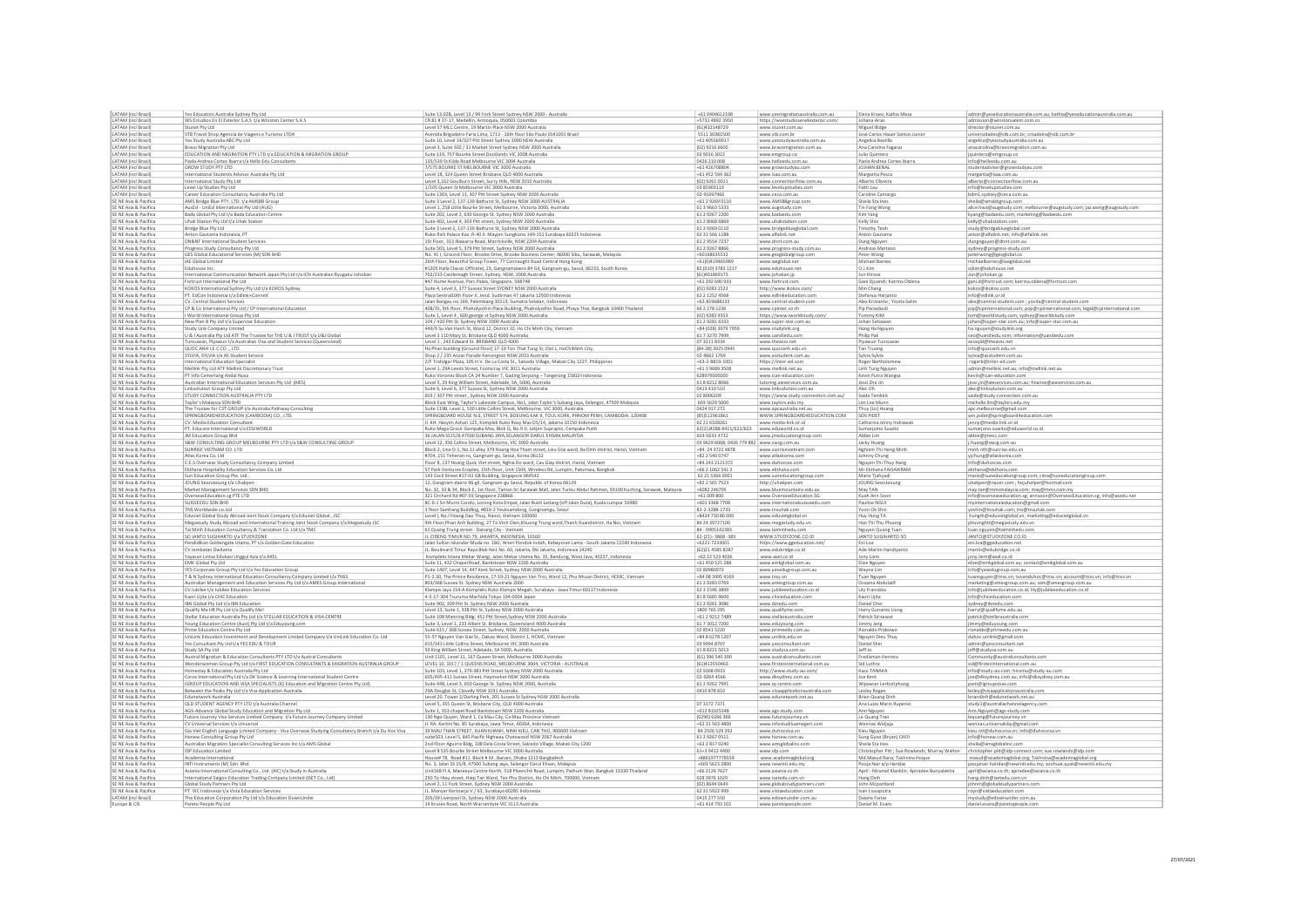| LATAM (incl Brazil                             |                                                                                                                                                                         |                                                                                                                                                                   | +61 0404612198                             |                                                       | Elena Kraev; Kathia Meza                       |                                                                                     |
|------------------------------------------------|-------------------------------------------------------------------------------------------------------------------------------------------------------------------------|-------------------------------------------------------------------------------------------------------------------------------------------------------------------|--------------------------------------------|-------------------------------------------------------|------------------------------------------------|-------------------------------------------------------------------------------------|
| <b>ATAM (incl Brazil</b>                       | Yes Education Australia Sydney Pty Ltd                                                                                                                                  | Suite 13.02B, Level 13 / 99 York Street Sydney NSW 2000 - Australia                                                                                               | +5731 4892 3950                            | www.yesmigrationaustralia.com.au                      | Johana Arias                                   | admin@yeseducationaustralia.com.au; kathia@yeseducationaustralia.com.au             |
|                                                | WS Estudios En El Exterior S.A.S t/a Winston Center S.A.S                                                                                                               | CR 81 # 37-17, Medellin, Antioquia, 050001 Colombia                                                                                                               |                                            | https://wsestudiosenelexterior.com/                   |                                                | admission@winstonsalem.com.co                                                       |
| ATAM (incl Brazil                              | Stunet Pty Ltd                                                                                                                                                          | Level 57 MLC Centre, 19 Martin Place NSW 2000 Australia                                                                                                           | (61)432148729                              | www.stunet.com.au                                     | Miguel Illidge                                 | director@stunet.com.au                                                              |
| LATAM (incl Brazil                             | STB Travel Shop Agencia de Viagens e Turismo LTDA                                                                                                                       | Avenida Brigadeiro Faria Lima, 1713 - 16th floor São Paulo 0141001 Brazil                                                                                         | 5511 30381500                              | www.stb.com.br                                        | José Carlos Hauer Santos Junior                | universidades@stb.com.br; cmadeira@stb.com.br                                       |
| LATAM (incl Brazil                             | Yes Study Australia ABC Pty Ltd                                                                                                                                         | Suite 10, Level 14/327 Pitt Street Sydney 2000 NSW Australia                                                                                                      | +61 405569917                              | www.yesstudyaustralia.com.au                          | Angelica Bastilla                              | angelica@yesstudyaustralia.com.au                                                   |
| LATAM (incl Brazil                             | Bravo Migration Pty Ltd                                                                                                                                                 | Level 3, Suite 302 / 31 Market Street Sydney NSW 2000 Australia                                                                                                   | (02) 9216 6600                             | www.bravomigration.com.au                             | Ana Carolina Fagaraz                           | anacarolina@bravomigration.com.au                                                   |
| ATAM (incl Brazil                              | EDUCATION AND MIGRATION PTY LTD t/a EDUCATION & MIGRATION GROUP                                                                                                         | Suite 119, 757 Bourke Street Docklands VIC 3008 Australia                                                                                                         | 03 9016 3022                               | www.emgroup.co                                        | Julio Quintero                                 | jquintero@emgroup.co                                                                |
| LATAM (incl Brazil                             | Paola Andrea Cortes Ibarra t/a Hello Edu Consultant:                                                                                                                    | 135/539 St Kilda Road Melbourne VIC 3004 Australia                                                                                                                | 0426 210 008                               | www.helloedu.com.au                                   | Paola Andrea Cortes Ibarr                      | info@helloedu.com.au                                                                |
| ATAM (incl Brazil                              | GROW STUDY PTY LTD                                                                                                                                                      | 7/575 BOURKE ST MELBOURNE VIC 3000 Australia                                                                                                                      | $+6142670880$                              | www.growstudyau.com                                   | JOJHAN BENA                                    | studentadviser@growstudyau.com                                                      |
| ATAM (incl Brazil                              | International Students Advisor Australia Pty Ltd                                                                                                                        | Level 18, 324 Queen Street Brisbane QLD 4000 Australia                                                                                                            | +61 452 594 362                            | www.isaa.com.au                                       | Margarita Pesca                                | margarita@isaa.com.au                                                               |
| ATAM (incl Brazil                              | International Study Pty Ltd                                                                                                                                             |                                                                                                                                                                   | (02) 9261 0011                             | www.connectionflow.com.au                             | Alberto Oliveira                               |                                                                                     |
| ATAM (incl Brazil)                             | Level Up Studies Pty Ltd                                                                                                                                                | Level 3,162 Goulburn Street, Surry Hills, NSW 2010 Australia<br>1/105 Queen St Melbourne VIC 3000 Australia                                                       | 03 85903119                                | www.levelupstudies.com                                | Faith Lau                                      | alberto@connectionflow.com.au<br>info@levelupstudies.com                            |
| ATAM (incl Brazil)                             | Career Education Consultancy Australia Pty Ltd                                                                                                                          | Suite 1303, Level 13, 307 Pitt Street Sydney NSW 2000 Australia                                                                                                   | 02-91697960                                | www.ceca.com.au                                       | Caroline Camargo                               | bdm1.sydney@ceca.com.au                                                             |
| E NE Asia & Pacific                            | AMS Bridge Blue PTY. LTD. t/a AMSBB Group                                                                                                                               | Suite 3 Level 2, 137-139 Bathurst St, Sydney NSW 2000 AUSTRALIA                                                                                                   | +61 2 9269 0110                            | www.AMSBBgroup.com                                    | Sheila Sta Ines                                | sheila@amsbbgroup.com                                                               |
| SE NE Asia & Pacifica                          | AusEd - UniEd International Pty Ltd (AUG)                                                                                                                               | Level 1, 258 Little Bourke Street, Melbourne, Victoria 3000, Australia                                                                                            | 61 3 9 66 3 5 3 3                          | www.augstudy.com                                      | Tin Fong Wong                                  | alice.hwa@augstudy.com; melbourne@augstudy.com; jaz.wong@augstudy.com               |
| SE NE Asia & Pacifica                          |                                                                                                                                                                         |                                                                                                                                                                   | 61 2 9 2 6 7 2 2 0 0                       | www.badaedu.com                                       |                                                |                                                                                     |
| SE NE Asia & Pacifica                          | Bada Global Pty Ltd t/a Bada Education Centre                                                                                                                           | Suite 202, Level 2, 630 George St. Sydney NSW 2000 Australia                                                                                                      | 61 2 8068 6869                             |                                                       | Kim Yang<br>Kelly Shin                         | kyang@badaedu.com; marketing@badaedu.com                                            |
|                                                | Uhak Station Pty Ltd t/a Uhak Station                                                                                                                                   | Suite 402, Level 4, 303 Pitt street, Sydney NSW 2000 Australia                                                                                                    |                                            | www.uhakstation.com                                   |                                                | kelly@uhakstation.com                                                               |
| SE NE Asia & Pacifica                          | Bridge Blue Pty Ltd                                                                                                                                                     | Suite 3 Level 2, 137-139 Bathurst St, Sydney NSW 2000 Australia                                                                                                   | 61 2 9 2 6 9 0 1 1 0                       | www.bridgeblueglobal.com                              | <b>Timothy Teoh</b>                            | study@bridgeblueglobal.com                                                          |
| SE NE Asia & Pacifica                          | Anton Gautama Indonesia, PT                                                                                                                                             | Ruko Rich Palace Kav. R-40 Jl. Mayjen Sungkono 149-151 Surabaya 60225 Indonesia                                                                                   | 62 31 566 1188                             | www.alfalink.net                                      | Anton Gautama                                  | anton@alfalink.net; info@alfalink.net                                               |
| SE NE Asia & Pacifica                          | DN&NT International Student Services                                                                                                                                    | 1St Floor, 313 Illawarra Road, Marrickville, NSW 2204 Australia                                                                                                   | 61 2 9554 7237                             | www.dnnt.com.au                                       | Dung Nguyen                                    | dungnguyen@dnnt.com.au                                                              |
| SE NE Asia & Pacifica                          | Progress Study Consultancy Pty Ltd                                                                                                                                      | Suite 503, Level 5, 379 Pitt Street, Sydney NSW 2000 Australia                                                                                                    | 61 2 9 2 6 7 8 8 6 6                       | www.progress-study.com.au                             | Andreas Martano                                | sydney@progress-study.com                                                           |
| SE NE Asia & Pacific                           | GES Global Educational Services (M) SDN BHD                                                                                                                             | No. 411, Ground Floor, Brooke Drive, Brooke Business Center, 96000 Sibu, Sarawak, Malaysia                                                                        | +60168635532                               | www.gesglobalgroup.com                                | Peter Wong                                     | peterwong@gesglobal.co                                                              |
| SE NE Asia & Pacific                           | iAE Global Limited                                                                                                                                                      | 26th Floor, Beautiful Group Tower, 77 Connaught Road Central Hong Kong                                                                                            | $+61(0)419465989$                          | www.iaeglobal.net                                     | Michael Barnes                                 | michaelbarnes@iaeglobal.net                                                         |
| SE NE Asia & Pacifica                          | Eduhouse Inc.                                                                                                                                                           | #1205 Halla Classic Officetel, 23, Gangnamdaero 84 Gil, Gangnam-gu, Seoul, 06233, South Korea                                                                     | 82 (010) 3783 1217                         | www.eduhouse.net                                      | O.J.Kim                                        | ojkim@eduhouse.net                                                                  |
| SE NE Asia & Pacifica                          | International Communication Network Japan Pty Ltd t/a ICN Australian Ryugaku Johokan                                                                                    | 702/233 Castlereagh Streer, Sydney, NSW, 2000 Australia                                                                                                           | (61)401869173                              | www.johokan.jp                                        | Jun Hirose                                     | Jun@johokan.jp                                                                      |
| SE NE Asia & Pacifica                          |                                                                                                                                                                         | #47 Hume Avenue, Parc Palais, Singapore, 598748                                                                                                                   | +61 292 690 933                            | www.fortrust.com                                      | Gani Djuandi; Katrina Oblena                   | gani.d@fortrust.com; katrina.oblena@fortrust.com                                    |
| SE NE Asia & Pacifica                          | Fortrust International Pte Ltd<br>KOKOS International Sydney Pty Ltd t/a KOKOS Sydney                                                                                   | Suite 4, Level 3, 377 Sussex Street SYDNEY NSW 2000 Australia                                                                                                     | (02) 9283 1523                             | http://www.ikokos.com/                                | Min Chang                                      | kokos@ikokos.com                                                                    |
| SE NE Asia & Pacifica                          | PT. EdCon Indonesia t/a Edlink+ConneX                                                                                                                                   | Plaza Sentral10th Floor Jl. Jend. Sudirman 47 Jakarta 12930 Indonesia                                                                                             | 62 2 1 2 5 2 4 5 6 8                       | www.edlinkeducation.com                               | Stefanus Harjanto                              | info@edlink.or.id                                                                   |
| SE NE Asia & Pacifica                          | CV. Central Student Services                                                                                                                                            | Jalan Bangau no 169, Palembang 30113, Sumatra Selatan, Indonesia                                                                                                  | $+62 - 819688233$                          | www.central-student.com                               | Alex Kristanto ; Yovita Salin                  |                                                                                     |
|                                                |                                                                                                                                                                         |                                                                                                                                                                   |                                            |                                                       |                                                | alex@central-student.com ; yovita@central-student.com                               |
| SE NE Asia & Pacifica                          | CP & Co International Pty Ltd / CP International Education                                                                                                              | 408/35, 9th floor, Phaholyothin Place Building, Phaholyothin Road, Phaya Thai, Bangkok 10400 Thailand                                                             | 66 2 278 1236                              | www.cpinter.co.th                                     | Pip Panasbodi                                  | pip@cpinternational.com; pop@cpinternational.com; legal@cpinternational.com         |
| SE NE Asia & Pacifica                          | I World International Group Pty Ltd                                                                                                                                     | Suite 1, Level 4, 600 george st Sydney NSW 2000 Australia                                                                                                         | (02) 9283 9353                             | https://www.iworldstudy.com                           | Tommy KIM                                      | tom@iworldstudy.com; sydney@iworldstudy.com                                         |
| SE NE Asia & Pacifica                          | New Plan B Pty Ltd t/a Superstar Education                                                                                                                              | 104 / 420 Pitt St. Sydney NSW 2000 Australia                                                                                                                      | 61 2 9 2 8 1 6 3 3 3                       | www.super-star.com.au                                 | Johan Setiawar                                 | johan@super-star.com.au; info@super-star.com.au                                     |
| SE NE Asia & Pacifica                          | Study Link Company Limited                                                                                                                                              | 449/9 Su Van Hanh St, Ward 12, District 10, Ho Chi Minh City, Vietnam                                                                                             | +84 (028) 3979 7959                        | www.studylink.org                                     | Hong Ha Nguyen                                 | ha.nguyen@studylink.org                                                             |
| SE NE Asia & Pacifica                          | U & I Australia Pty Ltd ATF The Trustee for THE U & I TRUST t/a U&I Global                                                                                              | Level 3 110 Mary St. Brisbane QLD 4000 Australia                                                                                                                  | 61 7 3 2 7 0 7 9 9 9                       | www.uandiedu.com                                      | Philip Pak                                     | ceo@uandiedu.com; information@uandiedu.com                                          |
| SE NE Asia & Pacifica                          | Tunsuwan, Piyawun t/a Australian Visa and Student Services (Queensland                                                                                                  | Level 1, 243 Edward St. BRISBANE QLD 4000                                                                                                                         | 07 3211 8334                               | www.theavss.net                                       | Piyawun Tunsuwar                               | avssqld@theavss.net                                                                 |
| SE NE Asia & Pacifica                          | QUOC ANH I.E.C CO., LTD                                                                                                                                                 | Ha Phan building (Ground Floor) 17-19 Ton That Tung St, Dist 1, HoChiMinh City,                                                                                   | (84-28) 3925 0945                          | www.quocanh.edu.vn                                    | Tan Truong                                     | info@quocanh.edu.vn                                                                 |
| SE NE Asia & Pacifica                          | SYLVIA, SYLVIA t/a AS Student Service                                                                                                                                   | Shop 2 / 235 Anzac Parade Kensington NSW 2033 Australia                                                                                                           | 02-9662 1769                               | www.asstudent.com.au                                  | Sylvia Sylvia                                  | sylvia@asstudent.com.au                                                             |
| SE NE Asia & Pacifica                          | ternational Education Specialist                                                                                                                                        | 2/F Trafalgar Plaza, 105 H.V. De La Costa St., Salcedo Village, Makati City 1227, Philippines                                                                     | $+63-2-8819-100$                           | https://inter-ed.com                                  | Roger Bartholome                               | rogerb@inter-ed.com                                                                 |
| SE NE Asia & Pacifica                          | Mellink Pty Ltd ATF Mellink Discretionary Trust                                                                                                                         | Level 1, 29A Leeds Street, Footscray VIC 3011 Australia                                                                                                           | +61 3 9689 3508                            | www.mellink.net.au                                    | Linh Tung Nguyen                               | admin@mellink.net.au; info@mellink.net.au                                           |
| SE NE Asia & Pacifica                          |                                                                                                                                                                         |                                                                                                                                                                   | 628979000000                               |                                                       |                                                |                                                                                     |
| SE NE Asia & Pacifica                          | PT Info Cemerlang Andal Nusa                                                                                                                                            | Ruko Voronez Block CA 24 Number 7, Gading Serpong - Tangerang 15810 Indonesia<br>Level 5, 29 King William Street, Adelaide, SA, 5000, Australia                   | 61 8 8 2 1 2 8 0 6 6                       | www.ican-education.com<br>tutoring.aieservices.com.au | Kevin Putra Wangsa<br>Jessi Zhe Jin            | kevin@ican-education.con<br>jessi.jin@aieservices.com.au; finance@aieservices.com.a |
|                                                | Australian International Education Services Pty Ltd (AIES)                                                                                                              |                                                                                                                                                                   |                                            |                                                       |                                                |                                                                                     |
| SE NE Asia & Pacifica                          | Linksolution Group Pty Ltd                                                                                                                                              | Suite 9, Level 6, 377 Sussex St, Sydney NSW 2000 Australia                                                                                                        | 0413 410 510                               | www.linksolution.com.au                               | Alec Oh                                        | alec@linksolution.com.au                                                            |
| SE NE Asia & Pacifica                          | STUDY CONNECTION AUSTRALIA PTY LTD                                                                                                                                      | 603 / 307 Pitt street, Sydney NSW 2000 Australia                                                                                                                  | 02 8006209                                 | https://www.study-connection.com.au/                  | Saida Temkki                                   | saida@study-connection.com.au                                                       |
| SE NE Asia & Pacifica                          | Taylor's Malaysia SDN BHD                                                                                                                                               | Block East Wing, Taylor's Lakeside Campus, No1, Jalan Taylor's Subang Jaya, Selangor, 47500 Malaysia                                                              | 603 5629 500                               | www.taylors.edu.my                                    | Lim Lee Munr                                   | michelle.lim@taylors.edu.my                                                         |
| SE NE Asia & Pacifica                          | The Trustee for C3T GROUP t/a Australia Pathway Consulting                                                                                                              | Suite 119B, Level 1, 530 Little Collins Street, Melbourne, VIC 3000, Australia                                                                                    | 0424 917 272                               | www.apcaustralia.net.ar                               | Thuy (Liz) Hoang                               | apc.melbourne@gmail.com                                                             |
| SE NE Asia & Pacific                           | SPRINGBOARD4EDUCATION (CAMBODIA) CO., LTD.                                                                                                                              | SPRINGBOARD HOUSE N.6, STREET 574, BOEUNG KAK II, TOUL KORK, PHNOM PENH, CAMBODIA. 120408                                                                         | (85)51296186:                              | WWW.SPRINGBOARD4EDUCATION.COM                         | <b>SEN PIDET</b>                               | sen.pidet@springboard4education.com                                                 |
| SE NE Asia & Pacifica                          | CV. Media Education Consultan                                                                                                                                           | Jl. KH. Hasyim Ashari 125, Komplek Ruko Roxy Mas D5/14, Jakarta 10150 Indonesi                                                                                    | 62 21 63 28 261                            | www.media-link.or.id                                  | Catharina Jenny Indrawati                      | jenny@media-link.or.id                                                              |
| SE NE Asia & Pacifica                          | PT. Educare International t/a EDUWORLD                                                                                                                                  | Ruko Mega Grosir Gempaka Mas, Blok Q, No.9 Jl. Letjen Suprapto, Cempaka Putih                                                                                     | 62(21)4288 8411/622/623 www.eduworld.co.id |                                                       | Sumarjomo Suwito                               | sumarjono.suwito@eduworld.co.id                                                     |
| SE NE Asia & Pacifica                          |                                                                                                                                                                         |                                                                                                                                                                   | 603-5633 4732                              | www.jmeducationgroup.com                              | Abbie Lim                                      | abbie@jmecc.com                                                                     |
| SE NE Asia & Pacifica                          | JM Education Group Bhd<br>S&W CONSULTING GROUP MELBOURNE PTY LTD t/a S&W CONSULTING GROUP                                                                               | 36 JALAN SS15/8,47500 SUBANG JAYA,SELANGOR DARUL EHSAN, MALAYSIA<br>Level 12, 356 Collins Street, Melbourne, VIC 3000 Australia                                   | 03 9629 6068; 0426 779 882 www.swcg.com.au |                                                       | Jacky Huang                                    |                                                                                     |
| SE NE Asia & Pacifica                          | SUNRISE VIETNAM CO. LTD                                                                                                                                                 | Block 2, Line D-1, No.11 alley 379 Hoang Hoa Tham street, Lieu Giai ward, Ba Dinh district, Hanoi, Vietnam                                                        | +84.24 3722 4878                           | www.sunrisevietnam.com                                | Nghiem Thi Hong Minh                           | j.huang@swcg.com.au<br>minh.nth@sunrise.edu.vn                                      |
| SE NE Asia & Pacifica                          | Atlas Korea Co. Ltd                                                                                                                                                     | #704, 151 Teheran-ro, Gangnam-gu, Seoul, Korea 06132                                                                                                              | +82 2 540 0747                             | www.atlaskorea.com                                    | Johnny Chung                                   | yjchung@atlaskorea.com                                                              |
|                                                |                                                                                                                                                                         |                                                                                                                                                                   |                                            |                                                       |                                                |                                                                                     |
|                                                |                                                                                                                                                                         |                                                                                                                                                                   |                                            |                                                       |                                                |                                                                                     |
| SE NE Asia & Pacifica                          | C.E.S Overseas Study Consultancy Company Limited                                                                                                                        | Floor 8, 137 Hoang Quoc Viet street, Nghia Do ward, Cau Giay district, Hanoi, Vietnam                                                                             | +84 243 2121372                            | www.duhocces.com                                      | Nguyen Thi Thuy Hang                           | info@duhocces.com                                                                   |
| SE NE Asia & Pacifica                          | Ekthana Hospitality Education Services Co. Ltd                                                                                                                          | 57 Park Ventures Ecoplex, 15th Floor, Unit 1509, Wireless Rd, Lumpini, Patumwa, Bangkok                                                                           | +66 2 1062 541 2                           | www.ekthana.com                                       | Mr Ekthana FAISAIKRAM                          | ekthana@ekthana.com                                                                 |
| SE NE Asia & Pacifica                          | Sun Education Group Pte. Ltd.                                                                                                                                           | 143 Cecil Street #17-03 GB Building, Singapore 069542                                                                                                             | 62 21 5366 000:                            | www.suneducationgroup.com                             | Mario Tjahyadi                                 | mario@suneducationgroup.com; citra@suneducationgroup.com                            |
| SE NE Asia & Pacifica                          | JOUNG SeonJeoung t/a Uhakpen                                                                                                                                            | 12, Gangnam-daero 96-gil, Gangnam-gu Seoul, Republic of Korea 06129                                                                                               | +82 2 565 7523                             | http://uhakpen.com                                    | JOUNG SeonJeoung                               | uhakpen@naver.com ; hojuhelper@hotmail.com                                          |
| SE NE Asia & Pacifica                          | Market Management Services SDN BHD                                                                                                                                      |                                                                                                                                                                   | +6082 246795                               | www.bluemountains.edu.au                              | May TAN                                        | may.tan@mmsmalaysia.com; may@mms.com.my                                             |
| SE NE Asia & Pacifica                          | OverseasEducation.sg PTE LTD                                                                                                                                            | No. 32, 33 & 34, Block E, 1st Floor, Taman Sri Sarawak Mall, Jalan Tunku Abdul Rahman, 93100 Kuching, Sarawak, Malaysia<br>321 Orchard Rd #07-03 Singapore 238866 | +61 009 800                                | www.OverseasEducation.SG                              | Kuah Ann Soon                                  | info@overseaseducation.sg; annsoon@OverseasEducation.sg; info@asedu.ne              |
| SE NE Asia & Pacifica                          | SUISSEEDU SDN BHD                                                                                                                                                       |                                                                                                                                                                   | +601 3368 7708                             | www.internationalsuisseedu.con                        | Pauline NGUI                                   | myinternationaleducation@gmail.com                                                  |
| SE NE Asia & Pacifica                          | TNS Worldwide co.Ltd                                                                                                                                                    | 8C-6-1 Sri Murni Condo, Lorong Kota Empat, Jalan Bukit Ledang (off Jalan Duta), Kuala Lumpur 50480                                                                | 82-2-3288-1733                             | www.tnsuhak.com                                       | Yoon Ok Shir                                   |                                                                                     |
|                                                |                                                                                                                                                                         | 3 floor Samhang Buildling, #819-2 Yeuksamdong, Gangnamgu, Seoul                                                                                                   |                                            | www.eduvietglobal.vn                                  |                                                | yoshin@tnsuhak.com; tns@tnsuhak.com                                                 |
| SE NE Asia & Pacifica<br>SE NE Asia & Pacifica | Eduviet Global Study Abroad Joint Stock Company t/a Eduviet Global., JSC                                                                                                | Level I, No.I Hoang Dao Thuy, Hanoi, Vietnam 100000                                                                                                               | +8424 730 86 000<br>84 24 39727100         |                                                       | Huy Hung TA                                    | hungth@eduvietglobal.vn; marketing@eduvietglobal.vn                                 |
|                                                | Megastudy Study Abroad and International Training Joint Stock Company t/a Megastudy JSC                                                                                 | 9th Floor, Phan Anh Building, 27 To Vinh Dien, Khuong Trung ward, Thanh Xuandistrict, Ha Noi, Vietnam                                                             |                                            | www.megastudy.edu.vn                                  | Han Thi Thu Phuong                             | phuonghtt@megastudy.edu.vn                                                          |
| SE NE Asia & Pacifica                          | Tai Minh Education Consultancy & Translation Co. Ltd t/a TMC                                                                                                            | 61 Quang Trung street - Danang City - Vietnam                                                                                                                     | 84-0905142383                              | www.taiminhedu.com                                    | Nguyen Quang Tuan                              | tuan.nguyen@taiminhedu.com                                                          |
| SE NE Asia & Pacifica                          | SO JANTO SUGIHARTO t/a STUDYZONE                                                                                                                                        | JI. CIDENG TIMUR NO.79, JAKARTA, INDONESIA, 10160                                                                                                                 | 62-(21)-3868-383                           | WWW.STUDYZONE.CO.ID                                   | <b>JANTO SUGIHARTO SO</b>                      | JANTO@STUDYZONE.CO.ID                                                               |
| SE NE Asia & Pacifica                          | Pendidikan Goldengate Utama, PT t/a Golden Gate Education                                                                                                               | Jalan Sultan Iskandar Muda no. 18G, Arteri Pondok Indah, Kebayoran Lama - South Jakarta 12240 Indonesia                                                           | +6221-7233001                              | https://www.ggeducation.net/                          | Eni Loa                                        | eni.loa@ggeducation.net                                                             |
| SE NE Asia & Pacifica                          | CV Jembatan Dwitama                                                                                                                                                     | JL. Boulevard Timur Raya Blok Ne1 No. 60, Jakarta, Dki Jakarta, Indonesia 14240                                                                                   | (62)21 4585 828                            | www.edubridge.co.id                                   | Ade Martin Handiyanto                          | martin@edubridge.co.id                                                              |
| SE NE Asia & Pacifica                          | Yayasan Lintas Edukasi Unggul Asia t/a AXEL                                                                                                                             | Kompleks Istana Mekar Wangi, Jalan Mekar Utama No. 35, Bandung, West Java, 40237, Indonesia                                                                       | +62 22 523 4036                            | www.axel.co.id                                        | Jony Liem                                      | jony.liem@axel.co.id                                                                |
| SE NE Asia & Pacifica                          | EMK Global Pty Ltd                                                                                                                                                      | Suite 11, 432 Chapel Road, Bankstown NSW 2200 Australia                                                                                                           | +61 450 525 288                            | www.emkglobal.com.au                                  | Elize Nguyen                                   | elize@emkglobal.com.au; contact@emkglobal.com.au                                    |
| SE NE Asia & Pacific                           | YES Corporate Group Pty Ltd t/a Yes Education Group                                                                                                                     | Suite 1407, Level 14, 447 Kent Street, Sydney NSW 2000 Australia                                                                                                  | 02 80980972                                | www.yesedugroup.com.au                                | Wayne Lim                                      | info@yesedugroup.com.au                                                             |
| SE NE Asia & Pacifica                          |                                                                                                                                                                         | P1-2.30, The Prince Residence, 17-19-21 Nguyen Van Troi, Ward 12, Phu Nhuan District, HCMC, Vietnam                                                               | +84 08 3995 4169                           | www.tnss.vn                                           | Tuan Nguyer                                    |                                                                                     |
| SE NE Asia & Pacifica                          | T & N Sydney International Education Consultancy Company Limited t/a TNSS                                                                                               | 803/368 Sussex St. Sydney NSW Australia 2000                                                                                                                      | 61 2 9 2 8 3 0 7 6 9                       |                                                       | Ossama Abdulatif                               | tuannguyen@tnss.vn; tuvanduhoc@tnss.vn; account@tnss.vn; info@tnss.vn               |
| SE NE Asia & Pacifica                          | Australian Management and Education Services Pty Ltd t/a AMES Group International                                                                                       |                                                                                                                                                                   | 62 3 1596 3899                             | www.amesgroup.com.au<br>www.jubileeeducation.co.id    | Lily Fransiska                                 | marketing@amesgroup.com.au; sam@amesgroup.com.au                                    |
|                                                |                                                                                                                                                                         |                                                                                                                                                                   | 81 8 5 6 8 5 9 6 0 0                       | www.chiceducation.com                                 | Kaori Ujita                                    | info@jubileeeducation.co.id; lily@jubileeeducation.co.id                            |
| SE NE Asia & Pacifica<br>SE NE Asia & Pacifica | CV Jubilee t/a Jubilee Education Services<br>Kaori Ujita t/a CHIC Education                                                                                             | Klampis Jaya 154-A Kompleks Ruko Klampis Megah, Surabaya - Jawa Timur 60117 Indonesia<br>4-5-17-304 Tsuruma Machida Tokyo 194-0004 Japan                          | 61 2 9 2 6 1 3 0 8 6                       | www.ibnedu.com                                        | Daniel Choi                                    | info@chiceducation.com<br>sydney@ibnedu.com                                         |
|                                                | IBN Global Pty Ltd t/a IBN Education                                                                                                                                    | Suite 902, 309 Pitt St. Sydney NSW 2000 Australia                                                                                                                 |                                            |                                                       |                                                |                                                                                     |
| SE NE Asia & Pacifica                          | Qualify Me HR Pty Ltd t/a Qualify Me                                                                                                                                    | Level 13, Suite 1, 338 Pitt St, Sydney NSW 2000 Australia                                                                                                         | 1800 765 295                               | www.qualifyme.com                                     | Harry Gunanto Liong                            | harryl@qualifyme.edu.au                                                             |
| E NE Asia & Pacifica                           | Stellar Education Australia Pty Ltd t/a STELLAR EDUCATION & VISA CENTRE                                                                                                 | Suite 108 Manning Bldg. 451 Pitt Street, Sydney NSW 2000 Australia                                                                                                | +61 2 9212 7489                            | www.stellaraustralia.com                              | Patrick Sirisawat                              | patrick@stellaraustralia.com                                                        |
| SE NE Asia & Pacifica                          | Young Education Centre (Aust) Pty Ltd t/a Eduyoung.com                                                                                                                  | Suite 3, Level 1, 233 Albert St. Brisbane, Queensland 4000 Australia                                                                                              | 61 7 3012 7200                             | www.eduyoung.com                                      | Jimmy Jang                                     | jimmy@eduyoung.com                                                                  |
| SE NE Asia & Pacifica                          | Prime Education Centre Pty Ltd                                                                                                                                          | Suite 615 / 368 Sussex Street, Sydney, NSW, 2000 Australia                                                                                                        | 02 8541 5220                               | www.primeedu.com.au                                   | Rionaldo Prabow                                | rionaldo@primeedu.com.au                                                            |
| SE NE Asia & Pacifica                          | UniLink Education Investment and Development Limited Company t/a UniLink Education Co. Ltd                                                                              | 55-57 Nguyen Van Giai St., Dakao Ward, District 1, HCMC, Vietnam                                                                                                  | +84 8 6278 1207                            | www.unilink.edu.vn                                    | Nguyen Dieu Thuy                               | duhoc.unilink@gmail.com                                                             |
| SE NE Asia & Pacifica                          | Yes Consultant Pty Ltd t/a YES EDU & TOUR                                                                                                                               | 615/343 Little Collins Street, Melbourne VIC 3000 Australia                                                                                                       | 03 9994 8707                               | www.yesconsultant.net                                 | Daniel Shin                                    | admin@yesconsultant.net                                                             |
| SE NE Asia & Pacifica                          | Study SA Pty Ltd                                                                                                                                                        | 50 King William Street, Adelaide, SA 5000, Australia                                                                                                              | 61882215013                                | www.studysa.com.au                                    | Jeff Jo                                        | jeff@studysa.com.au                                                                 |
| SE NE Asia & Pacifica                          | Austral Migration & Education Consultants PTY LTD t/a Austral Consultants                                                                                               | Unit 1101, Level 11, 167 Queen Street, Melbourne 3000 Australia                                                                                                   | (61) 396 540 390                           | www.australconsultants.com                            | Fredisman Herrera                              | Community@australconsultants.com                                                    |
| SE NE Asia & Pacific                           | Wonderwoman Group Pty Ltd t/a FIRST EDUCATION CONSULTANTS & MIGRATION AUSTRALIA GROUP                                                                                   | LEVEL 10, 1017 / 1 QUEENS ROAD, MELBOURNE 3004, VICTORIA - AUSTRALIA                                                                                              | (61)413550463                              | www.firstecinternational.com.au                       | Sid Luthra                                     | sid@firstecinternational.com.au                                                     |
| SE NE Asia & Pacifica                          | Iomestay & Education Australia Pty Ltd                                                                                                                                  | Suite 103, Level 1, 379-383 Pitt Street Sydney NSW 2000 Australia                                                                                                 | 02 9268 0933                               | http://www.study-au.com/                              | Kazu TANAKA                                    | info@study-au.com; hiromu@study-au.com                                              |
| SE NE Asia & Pacifica                          |                                                                                                                                                                         |                                                                                                                                                                   | 02-9264 4566                               |                                                       | Joe Kent                                       |                                                                                     |
| SE NE Asia & Pacifica                          | Coros International Pty Ltd t/a DK Science & Learning International Student Centre<br>IGROUP EDUCATION AND VISA SPECIALISTS (IQ Education and Migration Centre Pty Ltd) | 605/405-411 Sussex Street, Haymarket NSW 2000 Australia                                                                                                           | 61 2 9 2 6 2 7 9 9 1                       | www.dksydney.com.au<br>www.iq-centre.com              |                                                | joe@dksydney.com.au; info@dksydney.com.au                                           |
| SE NE Asia & Pacifica                          |                                                                                                                                                                         | Suite 44B, Level 3, 650 George St. Sydney NSW 2000, Australia<br>29A Douglas St, Clovelly NSW 2031 Australia                                                      | 0410 878 810                               | www.visaapplicationaustralia.com                      | Wipawun Lerksiriphong<br>Lesley Rogan          | pom@igroupvisas.com                                                                 |
|                                                | Between the Peaks Pty Ltd t/a Visa Application Australia<br>Edunetwork Australia                                                                                        |                                                                                                                                                                   |                                            |                                                       |                                                | lesley@visaapplicationaustralia.com                                                 |
| SE NE Asia & Pacifica                          |                                                                                                                                                                         | Level 20, Tower 2/Darling Park, 201 Sussex St Sydney NSW 2000 Australia                                                                                           |                                            | www.edunetwork.net.au                                 | Brian Quang Dinh                               | briandinh@edunetwork.net.au                                                         |
| SE NE Asia & Pacifica                          | QLD STUDENT AGENCY PTY LTD t/a Australia Channel                                                                                                                        | Level 5, 355 Queen St, Brisbane City, QLD 4000 Australia                                                                                                          | 07 3172 7371                               |                                                       | Ana Luiza Marin Rupere:                        | study1@australiachannelagency.com                                                   |
| SE NE Asia & Pacifica                          | AGS-Advance Global Study Education and Migration Pty Ltd                                                                                                                | Suite 1, 353 chapel Road Bankstown NSW 2200 Australia                                                                                                             | +612 81025348                              | www.ags-study.com                                     | Ann Nguyen                                     | Ann.Nguyen@ags-study.com                                                            |
| SE NE Asia & Pacifica                          | Future Journey Visa Services Limited Company t/a Future Journey Company Limited                                                                                         | 130 Ngo Quyen, Ward 1, Ca Mau City, Ca Mau Province Vietnam                                                                                                       | (0290) 6266 366                            | www.futurejourney.vn                                  | Le Quang Tran                                  | lequang@futurejourney.vn                                                            |
| SE NE Asia & Pacifica                          | CV Universal Services t/a Universal                                                                                                                                     | Jl. RA. Kartini No. 85 Surabaya, Jawa Timur, 60264, Indonesia                                                                                                     | +62 31 563 4800                            | www.infostudiluarnegeri.com                           | Wennas Widjaja                                 | wennas.universalsby@gmail.com                                                       |
| SE NE Asia & Pacifica                          | Gia Viet English Language Limited Company - Visa Overseas Studying Consultancy Branch t/a Du Hoc Visa                                                                   | 39 MAU THAN STREET, XUAN KHANH, NINH KIEU, CAN THO, 900000 Vietnam                                                                                                | 84 2926 529 292                            | www.duhocvisa.vn                                      | Kieu Nguyer                                    | kieu.ntt@duhocvisa.vn; info@duhocvisa.vn                                            |
| SE NE Asia & Pacifica                          | Honew Consulting Group Pty Ltd                                                                                                                                          | suite503, Level 5, 845 Pacific Highway Chatswood NSW 2067 Australia                                                                                               | 61 2 9 2 6 7 0 5 1 1                       | www.honew.com.au                                      | Sung Gyoo (Bryan) CHOI                         | info@honew.com.au                                                                   |
| SE NE Asia & Pacifica                          | Australian Migration Specialist Consulting Services Inc t/a AMS Global                                                                                                  |                                                                                                                                                                   | +63 2 817 0240                             | www.amsglobalinc.com                                  | Sheila Sta Ines                                | sheila@amsglobalinc.com                                                             |
| SE NE Asia & Pacifica                          | <b>IDP</b> Education Limited                                                                                                                                            | 2nd Floor Aguirre Bldg, 108 Dela Costa Street, Salcedo Village, Makati City 1200<br>Level 8 535 Bourke Street Melbourne VIC 3000 Australia                        | 61+3 9412 4400                             | www.idp.com                                           | Christopher Pitt ; Sue Rowlands; Murray Walton | christopher.pitt@idp-connect.com; sue.rowlands@idp.com                              |
| SE NE Asia & Pacifica                          | Academia International                                                                                                                                                  | House# 78, Road #11 Block # M, Banani, Dhaka 1213 Bangladesh                                                                                                      | +8801977778559                             | www.academiaglobal.org                                | Md.Masud Rana; Tashnina Hoque                  | masud@academiaglobal.org; Tashnina@academiaglobal.org                               |
| SE NE Asia & Pacifica                          | INTI Instruments (M) Sdn. Bhd                                                                                                                                           |                                                                                                                                                                   | +603 5623 2800                             | www.newinti.edu.my                                    | Pooja Nair a/p Haridas                         |                                                                                     |
|                                                |                                                                                                                                                                         | No. 3, Jalan SS 15/8, 47500 Subang Jaya, Selangor Darul Ehsan, Malaysia                                                                                           |                                            |                                                       |                                                | poojanair.haridas@newinti.edu.my; soohuat.quat@newinti.edu.my                       |
| SE NE Asia & Pacifica<br>SE NE Asia & Pacifica | Asiania International Consulting Co., Ltd. (AIC) t/a Study in Australia                                                                                                 | Unit168 FI.4, Maneeya Centre North, 518 Ploenchit Road, Lumpini, Pathum Wan, Bangkok 10330 Thailand                                                               | +66 2126 7627<br>028 3976 1029             | www.asiania.co.th                                     | April - Niramol Klanklin; Apiradee Bunyalekha  | april@asiania.co.th; apiradee@asiania.co.th                                         |
|                                                | International Saigon Education Trading Company Limited (ISET Co., Ltd)                                                                                                  | 250 To Hieu street, Hiep Tan Ward, Tan Phu District, Ho Chi Minh, 700000, Vietnam                                                                                 |                                            | www.isetedu.com.vr                                    | Hang Dinh                                      | hang.dinh@isetedu.com.vn                                                            |
| SE NE Asia & Pacifica                          | Global Study Partners Pty Ltd                                                                                                                                           | Level 2, 11 York Street, Sydney NSW 2000 Australia                                                                                                                | (02) 8644 0645                             | www.globalstudypartners.com                           | John Mcpartland                                | johnm@globalstudypartners.com                                                       |
| SE NE Asia & Pacifica                          | PT. VIC Indonesia t/a Vista Education Services                                                                                                                          | JL. Manyar Kertoarjo V / 63, Surabaya 60285 Indonesia                                                                                                             | 62 31 5922 999                             | www.vistaeducation.com                                | Ivan Liusaputra                                | royn@vistaeducation.com                                                             |
| LATAM (incl Brazil)<br>Europe & CIS            | The Education Corporation Pty Ltd t/a Education DownUnde<br>Pareto People Pty Ltd                                                                                       | 205/39 Liverpool St, Sydney NSW 2000 Australia<br>14 Kruses Road, North Warrandyte VIC 3113 Australia                                                             | 0415 277 550<br>+61 414 793 102            | www.edownunder.com.au<br>www.paretopeople.con         | Daiane Farias<br>Daniel M. Evans               | mystudy@edownunder.com.au<br>daniel.evans@paretopeople.com                          |